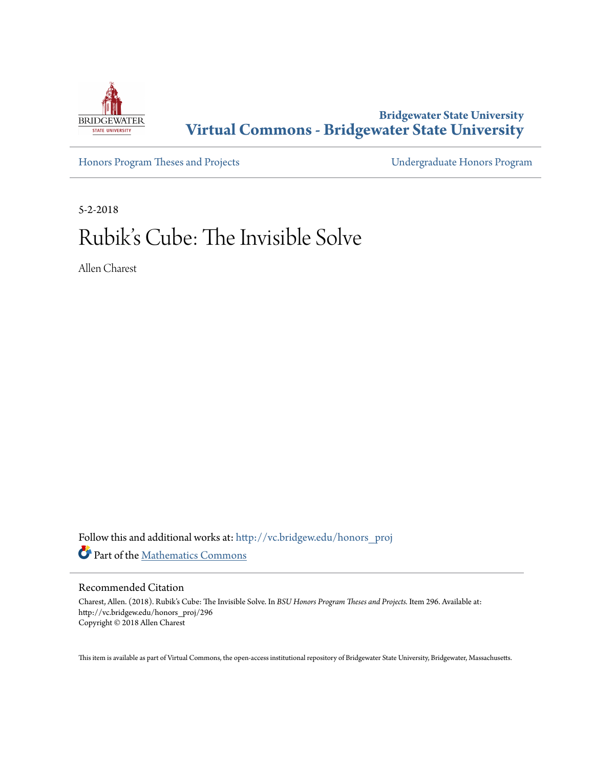

**Bridgewater State University [Virtual Commons - Bridgewater State University](http://vc.bridgew.edu?utm_source=vc.bridgew.edu%2Fhonors_proj%2F296&utm_medium=PDF&utm_campaign=PDFCoverPages)**

[Honors Program Theses and Projects](http://vc.bridgew.edu/honors_proj?utm_source=vc.bridgew.edu%2Fhonors_proj%2F296&utm_medium=PDF&utm_campaign=PDFCoverPages) [Undergraduate Honors Program](http://vc.bridgew.edu/honors?utm_source=vc.bridgew.edu%2Fhonors_proj%2F296&utm_medium=PDF&utm_campaign=PDFCoverPages)

5-2-2018

# Rubik's Cube: The Invisible Solve

Allen Charest

Follow this and additional works at: [http://vc.bridgew.edu/honors\\_proj](http://vc.bridgew.edu/honors_proj?utm_source=vc.bridgew.edu%2Fhonors_proj%2F296&utm_medium=PDF&utm_campaign=PDFCoverPages) Part of the [Mathematics Commons](http://network.bepress.com/hgg/discipline/174?utm_source=vc.bridgew.edu%2Fhonors_proj%2F296&utm_medium=PDF&utm_campaign=PDFCoverPages)

#### Recommended Citation

Charest, Allen. (2018). Rubik's Cube: The Invisible Solve. In *BSU Honors Program Theses and Projects.* Item 296. Available at: http://vc.bridgew.edu/honors\_proj/296 Copyright © 2018 Allen Charest

This item is available as part of Virtual Commons, the open-access institutional repository of Bridgewater State University, Bridgewater, Massachusetts.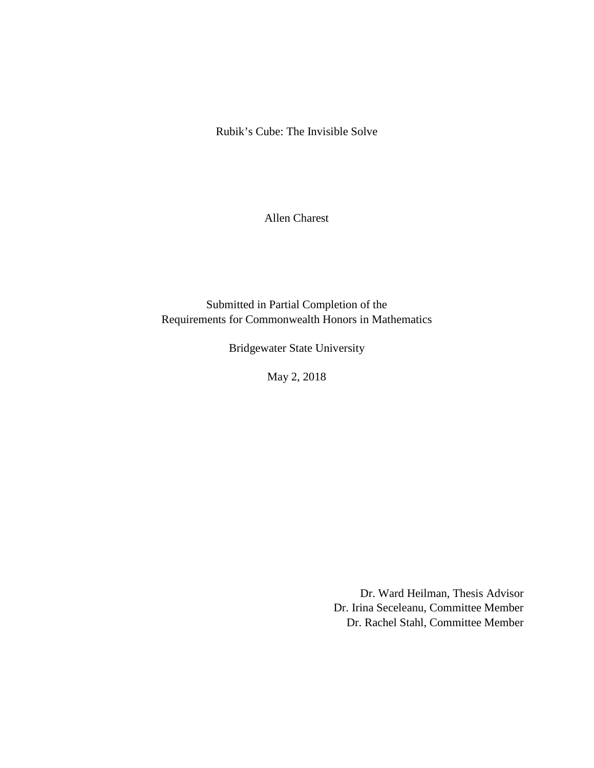Rubik's Cube: The Invisible Solve

Allen Charest

Submitted in Partial Completion of the Requirements for Commonwealth Honors in Mathematics

Bridgewater State University

May 2, 2018

Dr. Ward Heilman, Thesis Advisor Dr. Irina Seceleanu, Committee Member Dr. Rachel Stahl, Committee Member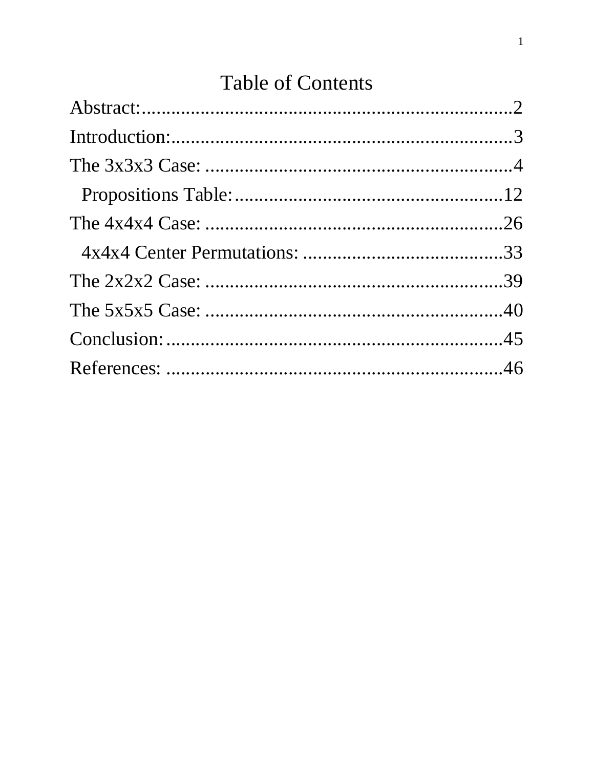# **Table of Contents**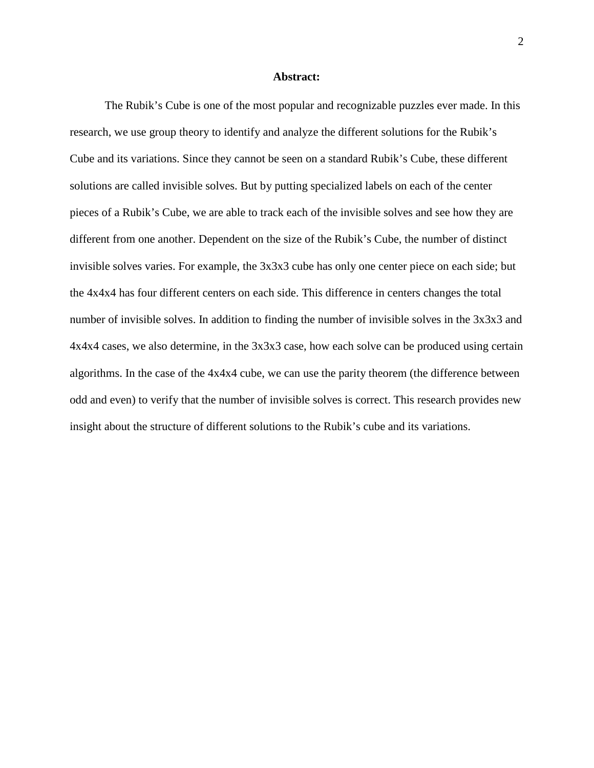#### **Abstract:**

<span id="page-3-0"></span>The Rubik's Cube is one of the most popular and recognizable puzzles ever made. In this research, we use group theory to identify and analyze the different solutions for the Rubik's Cube and its variations. Since they cannot be seen on a standard Rubik's Cube, these different solutions are called invisible solves. But by putting specialized labels on each of the center pieces of a Rubik's Cube, we are able to track each of the invisible solves and see how they are different from one another. Dependent on the size of the Rubik's Cube, the number of distinct invisible solves varies. For example, the 3x3x3 cube has only one center piece on each side; but the 4x4x4 has four different centers on each side. This difference in centers changes the total number of invisible solves. In addition to finding the number of invisible solves in the 3x3x3 and 4x4x4 cases, we also determine, in the 3x3x3 case, how each solve can be produced using certain algorithms. In the case of the 4x4x4 cube, we can use the parity theorem (the difference between odd and even) to verify that the number of invisible solves is correct. This research provides new insight about the structure of different solutions to the Rubik's cube and its variations.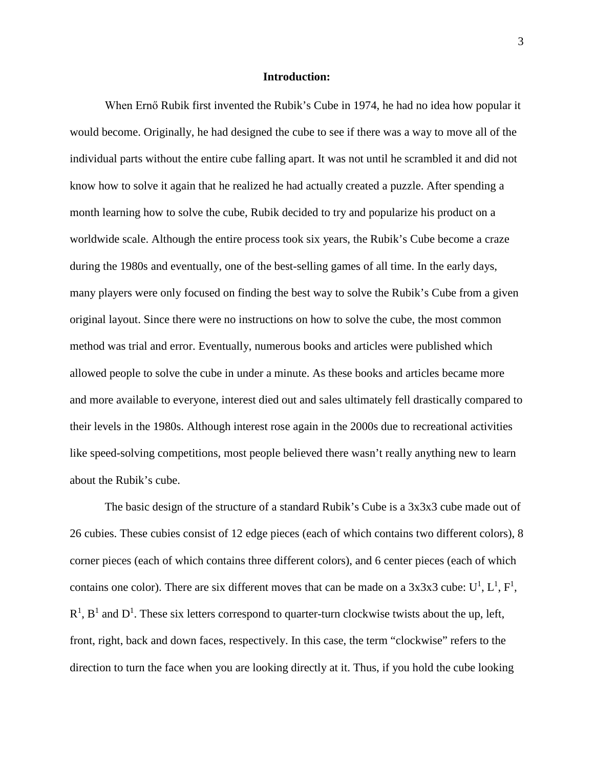#### **Introduction:**

<span id="page-4-0"></span>When Ernő Rubik first invented the Rubik's Cube in 1974, he had no idea how popular it would become. Originally, he had designed the cube to see if there was a way to move all of the individual parts without the entire cube falling apart. It was not until he scrambled it and did not know how to solve it again that he realized he had actually created a puzzle. After spending a month learning how to solve the cube, Rubik decided to try and popularize his product on a worldwide scale. Although the entire process took six years, the Rubik's Cube become a craze during the 1980s and eventually, one of the best-selling games of all time. In the early days, many players were only focused on finding the best way to solve the Rubik's Cube from a given original layout. Since there were no instructions on how to solve the cube, the most common method was trial and error. Eventually, numerous books and articles were published which allowed people to solve the cube in under a minute. As these books and articles became more and more available to everyone, interest died out and sales ultimately fell drastically compared to their levels in the 1980s. Although interest rose again in the 2000s due to recreational activities like speed-solving competitions, most people believed there wasn't really anything new to learn about the Rubik's cube.

The basic design of the structure of a standard Rubik's Cube is a 3x3x3 cube made out of 26 cubies. These cubies consist of 12 edge pieces (each of which contains two different colors), 8 corner pieces (each of which contains three different colors), and 6 center pieces (each of which contains one color). There are six different moves that can be made on a  $3x3x3$  cube:  $U^1$ ,  $L^1$ ,  $F^1$ ,  $R<sup>1</sup>$ ,  $B<sup>1</sup>$  and  $D<sup>1</sup>$ . These six letters correspond to quarter-turn clockwise twists about the up, left, front, right, back and down faces, respectively. In this case, the term "clockwise" refers to the direction to turn the face when you are looking directly at it. Thus, if you hold the cube looking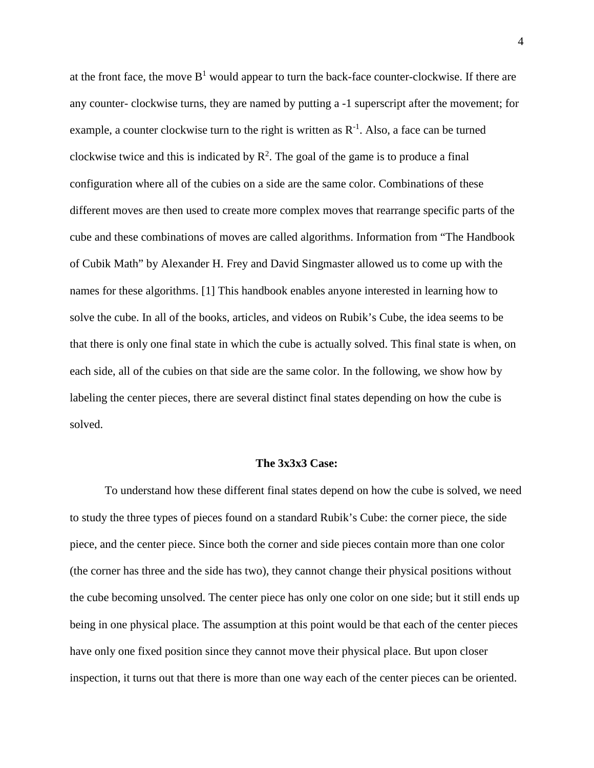at the front face, the move  $B<sup>1</sup>$  would appear to turn the back-face counter-clockwise. If there are any counter- clockwise turns, they are named by putting a -1 superscript after the movement; for example, a counter clockwise turn to the right is written as  $R^{-1}$ . Also, a face can be turned clockwise twice and this is indicated by  $R^2$ . The goal of the game is to produce a final configuration where all of the cubies on a side are the same color. Combinations of these different moves are then used to create more complex moves that rearrange specific parts of the cube and these combinations of moves are called algorithms. Information from "The Handbook of Cubik Math" by Alexander H. Frey and David Singmaster allowed us to come up with the names for these algorithms. [1] This handbook enables anyone interested in learning how to solve the cube. In all of the books, articles, and videos on Rubik's Cube, the idea seems to be that there is only one final state in which the cube is actually solved. This final state is when, on each side, all of the cubies on that side are the same color. In the following, we show how by labeling the center pieces, there are several distinct final states depending on how the cube is solved.

#### **The 3x3x3 Case:**

<span id="page-5-0"></span>To understand how these different final states depend on how the cube is solved, we need to study the three types of pieces found on a standard Rubik's Cube: the corner piece, the side piece, and the center piece. Since both the corner and side pieces contain more than one color (the corner has three and the side has two), they cannot change their physical positions without the cube becoming unsolved. The center piece has only one color on one side; but it still ends up being in one physical place. The assumption at this point would be that each of the center pieces have only one fixed position since they cannot move their physical place. But upon closer inspection, it turns out that there is more than one way each of the center pieces can be oriented.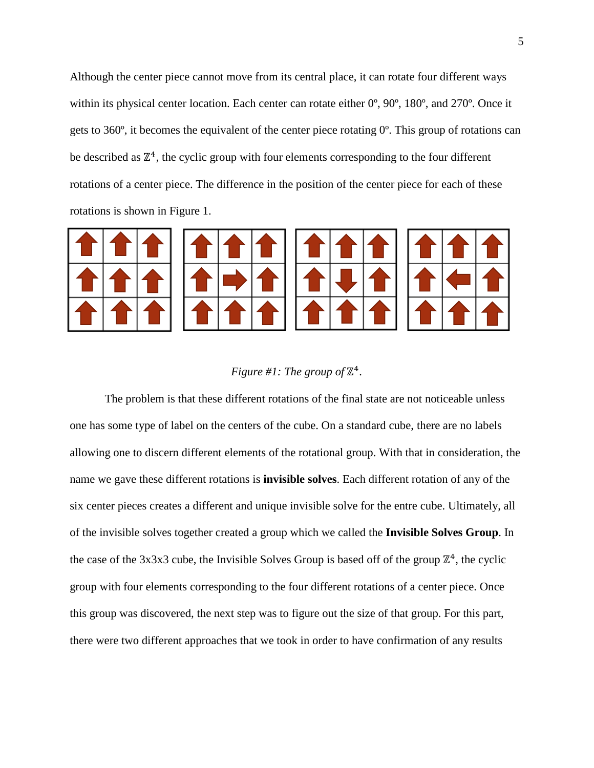Although the center piece cannot move from its central place, it can rotate four different ways within its physical center location. Each center can rotate either 0º, 90º, 180º, and 270º. Once it gets to 360º, it becomes the equivalent of the center piece rotating 0º. This group of rotations can be described as  $\mathbb{Z}^4$ , the cyclic group with four elements corresponding to the four different rotations of a center piece. The difference in the position of the center piece for each of these rotations is shown in Figure 1.



# *Figure #1: The group of*  $\mathbb{Z}^4$ .

The problem is that these different rotations of the final state are not noticeable unless one has some type of label on the centers of the cube. On a standard cube, there are no labels allowing one to discern different elements of the rotational group. With that in consideration, the name we gave these different rotations is **invisible solves**. Each different rotation of any of the six center pieces creates a different and unique invisible solve for the entre cube. Ultimately, all of the invisible solves together created a group which we called the **Invisible Solves Group**. In the case of the 3x3x3 cube, the Invisible Solves Group is based off of the group  $\mathbb{Z}^4$ , the cyclic group with four elements corresponding to the four different rotations of a center piece. Once this group was discovered, the next step was to figure out the size of that group. For this part, there were two different approaches that we took in order to have confirmation of any results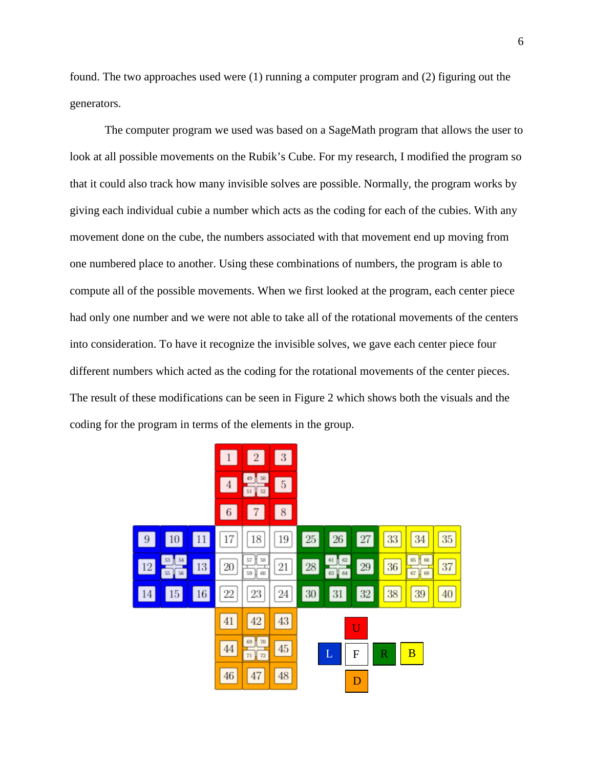found. The two approaches used were (1) running a computer program and (2) figuring out the generators.

The computer program we used was based on a SageMath program that allows the user to look at all possible movements on the Rubik's Cube. For my research, I modified the program so that it could also track how many invisible solves are possible. Normally, the program works by giving each individual cubie a number which acts as the coding for each of the cubies. With any movement done on the cube, the numbers associated with that movement end up moving from one numbered place to another. Using these combinations of numbers, the program is able to compute all of the possible movements. When we first looked at the program, each center piece had only one number and we were not able to take all of the rotational movements of the centers into consideration. To have it recognize the invisible solves, we gave each center piece four different numbers which acted as the coding for the rotational movements of the center pieces. The result of these modifications can be seen in Figure 2 which shows both the visuals and the coding for the program in terms of the elements in the group.

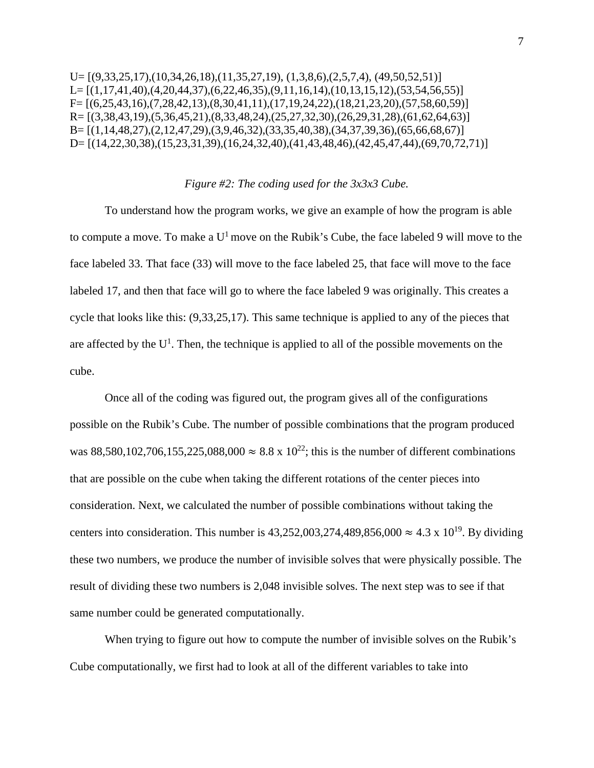```
U=[(9,33,25,17),(10,34,26,18),(11,35,27,19),(1,3,8,6),(2,5,7,4),(49,50,52,51)]L=[(1,17,41,40),(4,20,44,37),(6,22,46,35),(9,11,16,14),(10,13,15,12),(53,54,56,55)]F=[(6,25,43,16),(7,28,42,13),(8,30,41,11),(17,19,24,22),(18,21,23,20),(57,58,60,59)]R= [(3,38,43,19),(5,36,45,21),(8,33,48,24),(25,27,32,30),(26,29,31,28),(61,62,64,63)]
B= [(1,14,48,27),(2,12,47,29),(3,9,46,32),(33,35,40,38),(34,37,39,36),(65,66,68,67)]
D= [(14,22,30,38),(15,23,31,39),(16,24,32,40),(41,43,48,46),(42,45,47,44),(69,70,72,71)]
```
#### *Figure #2: The coding used for the 3x3x3 Cube.*

To understand how the program works, we give an example of how the program is able to compute a move. To make a  $U^1$  move on the Rubik's Cube, the face labeled 9 will move to the face labeled 33. That face (33) will move to the face labeled 25, that face will move to the face labeled 17, and then that face will go to where the face labeled 9 was originally. This creates a cycle that looks like this: (9,33,25,17). This same technique is applied to any of the pieces that are affected by the  $U^1$ . Then, the technique is applied to all of the possible movements on the cube.

Once all of the coding was figured out, the program gives all of the configurations possible on the Rubik's Cube. The number of possible combinations that the program produced was 88,580,102,706,155,225,088,000 ≈ 8.8 x 10<sup>22</sup>; this is the number of different combinations that are possible on the cube when taking the different rotations of the center pieces into consideration. Next, we calculated the number of possible combinations without taking the centers into consideration. This number is 43,252,003,274,489,856,000  $\approx$  4.3 x 10<sup>19</sup>. By dividing these two numbers, we produce the number of invisible solves that were physically possible. The result of dividing these two numbers is 2,048 invisible solves. The next step was to see if that same number could be generated computationally.

When trying to figure out how to compute the number of invisible solves on the Rubik's Cube computationally, we first had to look at all of the different variables to take into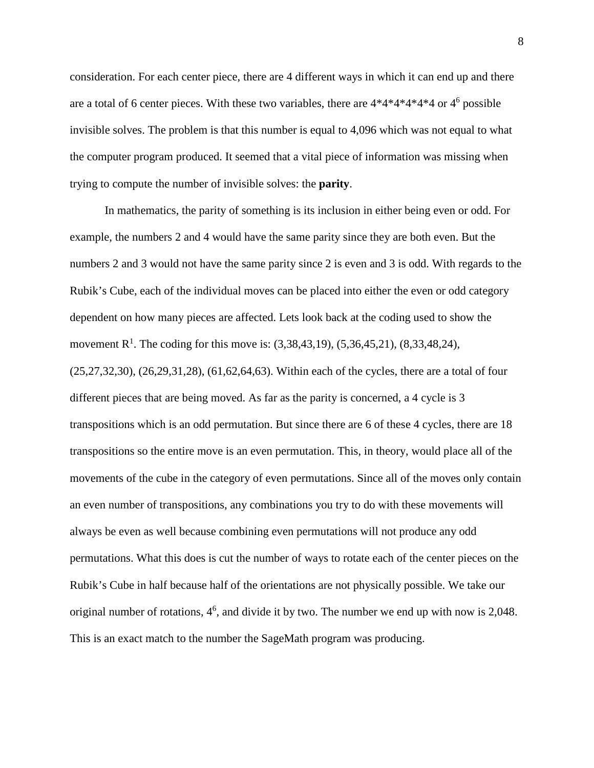consideration. For each center piece, there are 4 different ways in which it can end up and there are a total of 6 center pieces. With these two variables, there are  $4*4*4*4*4*4$  or  $4<sup>6</sup>$  possible invisible solves. The problem is that this number is equal to 4,096 which was not equal to what the computer program produced. It seemed that a vital piece of information was missing when trying to compute the number of invisible solves: the **parity**.

In mathematics, the parity of something is its inclusion in either being even or odd. For example, the numbers 2 and 4 would have the same parity since they are both even. But the numbers 2 and 3 would not have the same parity since 2 is even and 3 is odd. With regards to the Rubik's Cube, each of the individual moves can be placed into either the even or odd category dependent on how many pieces are affected. Lets look back at the coding used to show the movement R<sup>1</sup>. The coding for this move is:  $(3,38,43,19)$ ,  $(5,36,45,21)$ ,  $(8,33,48,24)$ , (25,27,32,30), (26,29,31,28), (61,62,64,63). Within each of the cycles, there are a total of four different pieces that are being moved. As far as the parity is concerned, a 4 cycle is 3 transpositions which is an odd permutation. But since there are 6 of these 4 cycles, there are 18 transpositions so the entire move is an even permutation. This, in theory, would place all of the movements of the cube in the category of even permutations. Since all of the moves only contain an even number of transpositions, any combinations you try to do with these movements will always be even as well because combining even permutations will not produce any odd permutations. What this does is cut the number of ways to rotate each of the center pieces on the Rubik's Cube in half because half of the orientations are not physically possible. We take our original number of rotations,  $4^6$ , and divide it by two. The number we end up with now is 2,048. This is an exact match to the number the SageMath program was producing.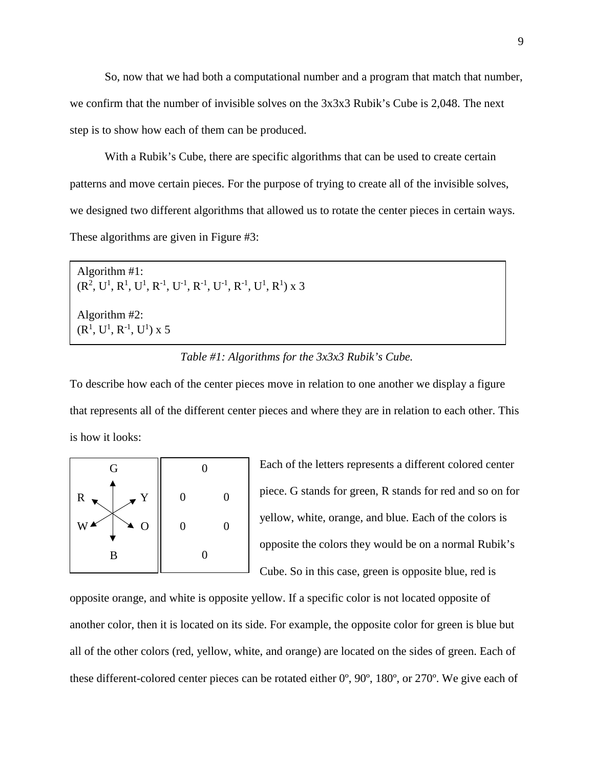So, now that we had both a computational number and a program that match that number, we confirm that the number of invisible solves on the 3x3x3 Rubik's Cube is 2,048. The next step is to show how each of them can be produced.

With a Rubik's Cube, there are specific algorithms that can be used to create certain patterns and move certain pieces. For the purpose of trying to create all of the invisible solves, we designed two different algorithms that allowed us to rotate the center pieces in certain ways. These algorithms are given in Figure #3:

Algorithm #1:  $(R^2, U^1, R^1, U^1, R^{-1}, U^{-1}, R^{-1}, U^{-1}, R^{-1}, U^1, R^1)$  x 3 Algorithm #2:  $(R<sup>1</sup>, U<sup>1</sup>, R<sup>-1</sup>, U<sup>1</sup>)$  x 5

#### *Table #1: Algorithms for the 3x3x3 Rubik's Cube.*

To describe how each of the center pieces move in relation to one another we display a figure that represents all of the different center pieces and where they are in relation to each other. This is how it looks:



Each of the letters represents a different colored center piece. G stands for green, R stands for red and so on for yellow, white, orange, and blue. Each of the colors is opposite the colors they would be on a normal Rubik's Cube. So in this case, green is opposite blue, red is

opposite orange, and white is opposite yellow. If a specific color is not located opposite of another color, then it is located on its side. For example, the opposite color for green is blue but all of the other colors (red, yellow, white, and orange) are located on the sides of green. Each of these different-colored center pieces can be rotated either 0º, 90º, 180º, or 270º. We give each of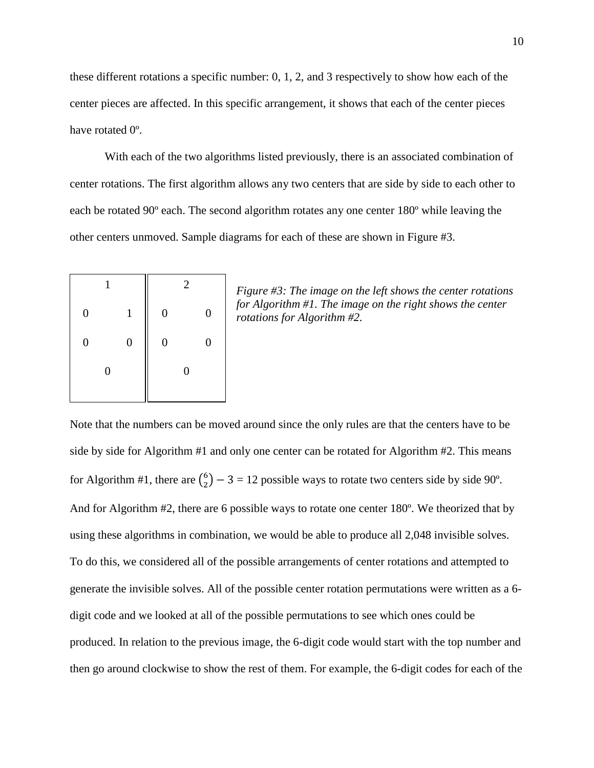these different rotations a specific number: 0, 1, 2, and 3 respectively to show how each of the center pieces are affected. In this specific arrangement, it shows that each of the center pieces have rotated 0º.

With each of the two algorithms listed previously, there is an associated combination of center rotations. The first algorithm allows any two centers that are side by side to each other to each be rotated 90º each. The second algorithm rotates any one center 180º while leaving the other centers unmoved. Sample diagrams for each of these are shown in Figure #3.

|                  | 1                |                  | 2 |   |  |  |  |  |
|------------------|------------------|------------------|---|---|--|--|--|--|
| $\boldsymbol{0}$ | $\mathbf{1}$     | $\boldsymbol{0}$ |   | 0 |  |  |  |  |
| $\boldsymbol{0}$ | $\boldsymbol{0}$ | $\overline{0}$   |   |   |  |  |  |  |
|                  | 0                |                  | 0 |   |  |  |  |  |
|                  |                  |                  |   |   |  |  |  |  |

*Figure #3: The image on the left shows the center rotations for Algorithm #1. The image on the right shows the center rotations for Algorithm #2.* 

Note that the numbers can be moved around since the only rules are that the centers have to be side by side for Algorithm #1 and only one center can be rotated for Algorithm #2. This means for Algorithm #1, there are  $\binom{6}{2}$  – 3 = 12 possible ways to rotate two centers side by side 90°. And for Algorithm #2, there are 6 possible ways to rotate one center 180º. We theorized that by using these algorithms in combination, we would be able to produce all 2,048 invisible solves. To do this, we considered all of the possible arrangements of center rotations and attempted to generate the invisible solves. All of the possible center rotation permutations were written as a 6 digit code and we looked at all of the possible permutations to see which ones could be produced. In relation to the previous image, the 6-digit code would start with the top number and then go around clockwise to show the rest of them. For example, the 6-digit codes for each of the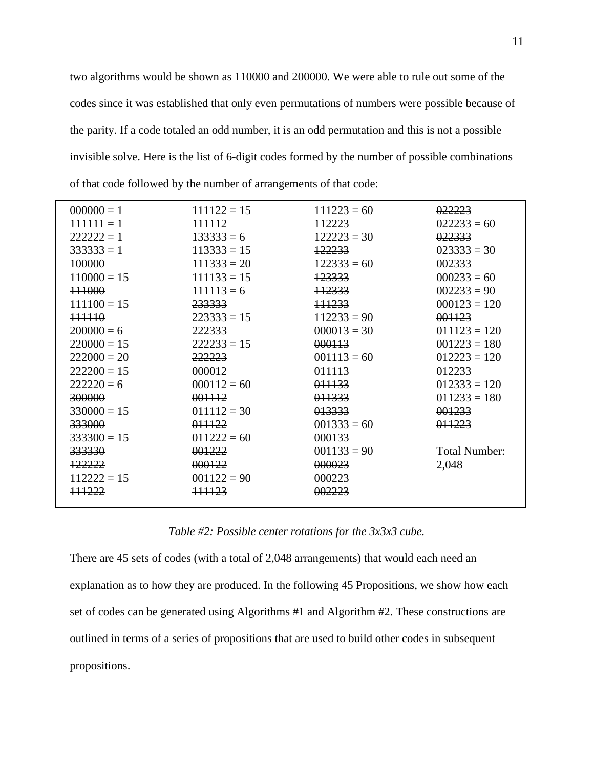two algorithms would be shown as 110000 and 200000. We were able to rule out some of the codes since it was established that only even permutations of numbers were possible because of the parity. If a code totaled an odd number, it is an odd permutation and this is not a possible invisible solve. Here is the list of 6-digit codes formed by the number of possible combinations of that code followed by the number of arrangements of that code:

| $000000 = 1$  | $111122 = 15$ | $111223 = 60$ | 022223               |
|---------------|---------------|---------------|----------------------|
| $111111 = 1$  | 111112        | 112223        | $022233 = 60$        |
| $222222 = 1$  | $133333 = 6$  | $122223 = 30$ | 022333               |
|               |               |               |                      |
| $333333 = 1$  | $113333 = 15$ | 122233        | $023333 = 30$        |
| 100000        | $111333 = 20$ | $122333 = 60$ | 002333               |
| $110000 = 15$ | $111133 = 15$ | 123333        | $000233 = 60$        |
| 111000        | $111113 = 6$  | 112333        | $002233 = 90$        |
| $111100 = 15$ | 233333        | 111233        | $000123 = 120$       |
| 111110        | $223333 = 15$ | $112233 = 90$ | 001123               |
| $200000 = 6$  | 222333        | $000013 = 30$ | $011123 = 120$       |
| $220000 = 15$ | $222233 = 15$ | 000113        | $001223 = 180$       |
| $222000 = 20$ | 222223        | $001113 = 60$ | $012223 = 120$       |
| $222200 = 15$ | 000012        | 011113        | 012233               |
| $222220 = 6$  | $000112 = 60$ | 011133        | $012333 = 120$       |
| 300000        | 001112        | 011333        | $011233 = 180$       |
| $330000 = 15$ | $011112 = 30$ | 013333        | 001233               |
| 333000        | 011122        | $001333 = 60$ | <del>011223</del>    |
| $333300 = 15$ | $011222 = 60$ | 000133        |                      |
| 333330        | 001222        | $001133 = 90$ | <b>Total Number:</b> |
| 122222        | 000122        | 000023        | 2,048                |
| $112222 = 15$ | $001122 = 90$ | 000223        |                      |
| 111222        | 111123        | 002223        |                      |
|               |               |               |                      |

*Table #2: Possible center rotations for the 3x3x3 cube.*

There are 45 sets of codes (with a total of 2,048 arrangements) that would each need an explanation as to how they are produced. In the following 45 Propositions, we show how each set of codes can be generated using Algorithms #1 and Algorithm #2. These constructions are outlined in terms of a series of propositions that are used to build other codes in subsequent propositions.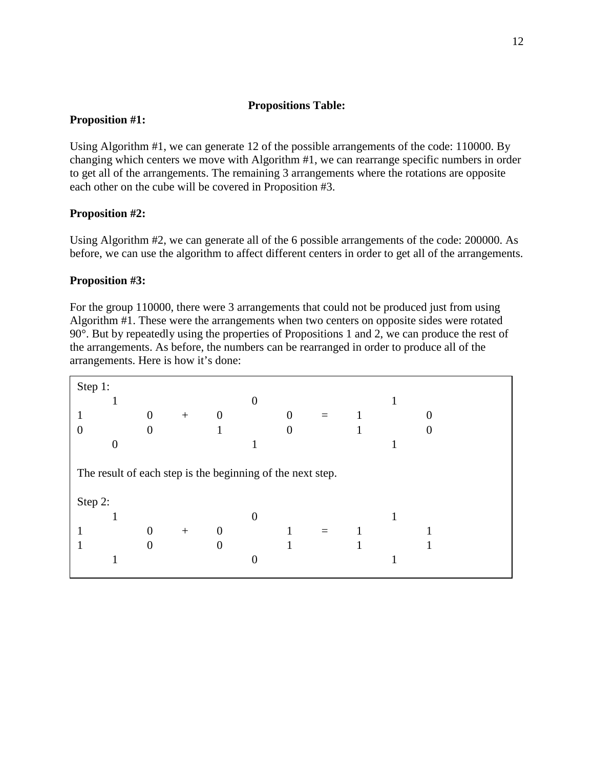#### **Propositions Table:**

# <span id="page-13-0"></span>**Proposition #1:**

Using Algorithm #1, we can generate 12 of the possible arrangements of the code: 110000. By changing which centers we move with Algorithm #1, we can rearrange specific numbers in order to get all of the arrangements. The remaining 3 arrangements where the rotations are opposite each other on the cube will be covered in Proposition #3.

# **Proposition #2:**

Using Algorithm #2, we can generate all of the 6 possible arrangements of the code: 200000. As before, we can use the algorithm to affect different centers in order to get all of the arrangements.

# **Proposition #3:**

For the group 110000, there were 3 arrangements that could not be produced just from using Algorithm #1. These were the arrangements when two centers on opposite sides were rotated 90°. But by repeatedly using the properties of Propositions 1 and 2, we can produce the rest of the arrangements. As before, the numbers can be rearranged in order to produce all of the arrangements. Here is how it's done:

| Step 1: |                                                            |                  |     |                  |   |                |     |  |  |
|---------|------------------------------------------------------------|------------------|-----|------------------|---|----------------|-----|--|--|
|         |                                                            |                  |     |                  |   |                |     |  |  |
|         |                                                            | $\boldsymbol{0}$ | $+$ | $\boldsymbol{0}$ |   | $\overline{0}$ | $=$ |  |  |
|         |                                                            | $\overline{0}$   |     |                  |   | $\overline{0}$ |     |  |  |
|         | 0                                                          |                  |     |                  |   |                |     |  |  |
| Step 2: | The result of each step is the beginning of the next step. |                  |     |                  |   |                |     |  |  |
|         |                                                            |                  |     |                  | 0 |                |     |  |  |
|         |                                                            | 0                | $+$ | $\boldsymbol{0}$ |   |                |     |  |  |
|         |                                                            | 0                |     | $\boldsymbol{0}$ |   |                |     |  |  |
|         |                                                            |                  |     |                  |   |                |     |  |  |
|         |                                                            |                  |     |                  |   |                |     |  |  |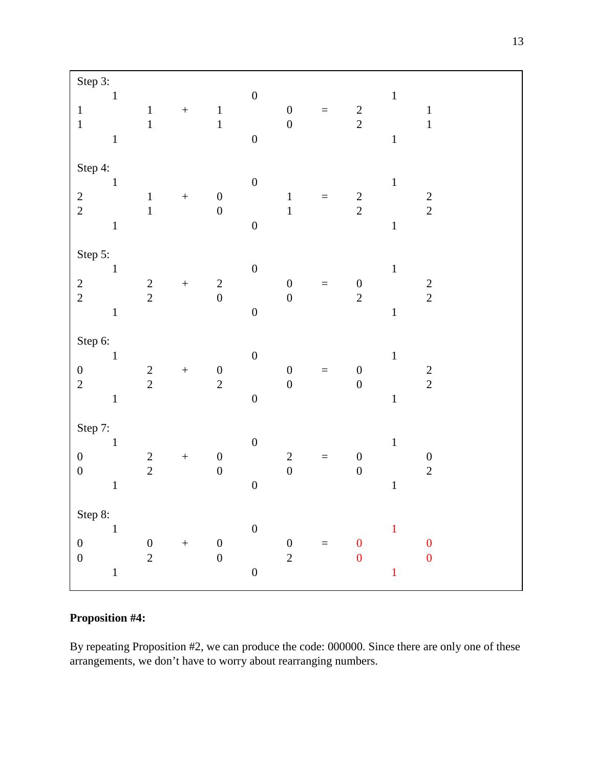| Step 3:                               |                                    |                   |                                       |                  |                                      |          |                                      |                                      |
|---------------------------------------|------------------------------------|-------------------|---------------------------------------|------------------|--------------------------------------|----------|--------------------------------------|--------------------------------------|
| $\mathbf 1$<br>$\,1\,$<br>$\mathbf 1$ | $\,1\,$<br>$\mathbf{1}$            | $\! + \!$         | $\begin{array}{c} 1 \\ 1 \end{array}$ | $\boldsymbol{0}$ | $\boldsymbol{0}$<br>$\boldsymbol{0}$ | $\equiv$ | $\frac{2}{2}$                        | $\,1\,$<br>$\,1\,$<br>$\,1\,$        |
| $\mathbf{1}$                          |                                    |                   |                                       | $\boldsymbol{0}$ |                                      |          |                                      | $\mathbf{1}$                         |
| Step 4:<br>$\,1\,$                    |                                    |                   |                                       | $\boldsymbol{0}$ |                                      |          |                                      | $\mathbf 1$                          |
| $\frac{2}{2}$                         | $\,1\,$                            | $\boldsymbol{+}$  | $\boldsymbol{0}$                      |                  | $\,1\,$                              | $\equiv$ | $\frac{2}{2}$                        | $\frac{2}{2}$                        |
| $\mathbf 1$                           | $\mathbf{1}$                       |                   | $\boldsymbol{0}$                      | $\boldsymbol{0}$ | $\mathbf{1}$                         |          |                                      | $\mathbf 1$                          |
| Step 5:                               |                                    |                   |                                       |                  |                                      |          |                                      |                                      |
| $\,1\,$                               |                                    | $\! + \!$         |                                       | $\boldsymbol{0}$ | $\boldsymbol{0}$                     | $=$      | $\boldsymbol{0}$                     | $\mathbf 1$                          |
| $\frac{2}{2}$<br>$\mathbf 1$          | $\frac{2}{2}$                      |                   | $\begin{array}{c} 2 \\ 0 \end{array}$ | $\boldsymbol{0}$ | $\overline{0}$                       |          | $\overline{2}$                       | $\frac{2}{2}$<br>$\mathbf 1$         |
|                                       |                                    |                   |                                       |                  |                                      |          |                                      |                                      |
| Step 6:<br>$1\,$                      |                                    |                   |                                       | $\boldsymbol{0}$ |                                      |          |                                      | $\mathbf 1$                          |
| $\boldsymbol{0}$<br>$\overline{2}$    | $\sqrt{2}$<br>$\overline{2}$       | $\qquad \qquad +$ | $\begin{array}{c} 0 \\ 2 \end{array}$ |                  | $\boldsymbol{0}$<br>$\overline{0}$   | $\equiv$ | $\boldsymbol{0}$<br>$\boldsymbol{0}$ | $\overline{c}$<br>$\overline{2}$     |
| $\,1\,$                               |                                    |                   |                                       | $\boldsymbol{0}$ |                                      |          |                                      | $\mathbf 1$                          |
| Step 7:                               |                                    |                   |                                       |                  |                                      |          |                                      |                                      |
| $\mathbf 1$<br>$\boldsymbol{0}$       | $\sqrt{2}$                         | $\qquad \qquad +$ | $\boldsymbol{0}$                      | $\boldsymbol{0}$ | $\sqrt{2}$                           | $=$      | $\boldsymbol{0}$                     | $\mathbf{1}$<br>$\boldsymbol{0}$     |
| $\boldsymbol{0}$<br>$\mathbf 1$       | $\overline{2}$                     |                   | $\overline{0}$                        | $\boldsymbol{0}$ | $\overline{0}$                       |          | $\boldsymbol{0}$                     | $\sqrt{2}$<br>$\mathbf 1$            |
|                                       |                                    |                   |                                       |                  |                                      |          |                                      |                                      |
| Step 8:<br>$\,1\,$                    |                                    |                   |                                       | $\boldsymbol{0}$ |                                      |          |                                      | $\mathbf{1}$                         |
| $\boldsymbol{0}$<br>$\overline{0}$    | $\boldsymbol{0}$<br>$\overline{2}$ | $\qquad \qquad +$ | $\boldsymbol{0}$<br>$\overline{0}$    |                  | $\boldsymbol{0}$<br>$\overline{2}$   | $\equiv$ | $\boldsymbol{0}$<br>$\overline{0}$   | $\boldsymbol{0}$<br>$\boldsymbol{0}$ |
| $\mathbf 1$                           |                                    |                   |                                       | $\boldsymbol{0}$ |                                      |          |                                      | $\mathbf{1}$                         |

# **Proposition #4:**

By repeating Proposition #2, we can produce the code: 000000. Since there are only one of these arrangements, we don't have to worry about rearranging numbers.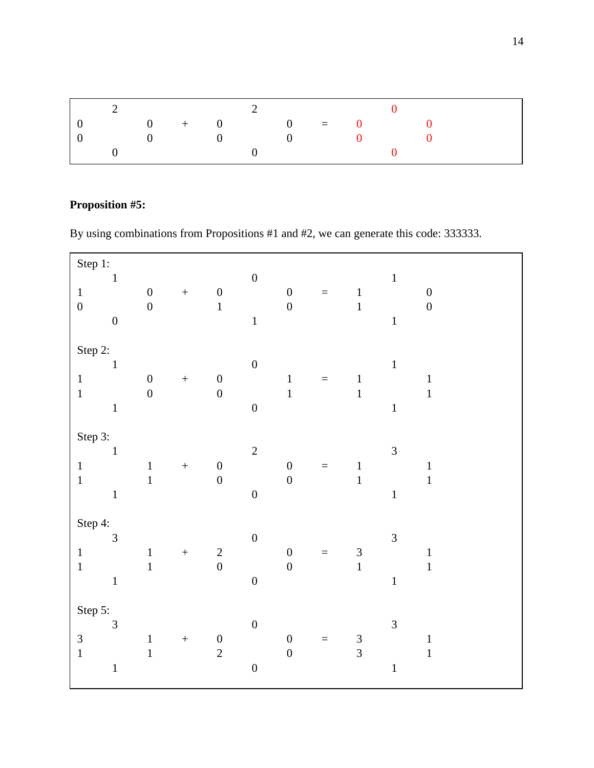|                | $\overline{2}$ and $\overline{2}$ and $\overline{2}$ and $\overline{2}$ and $\overline{2}$ and $\overline{2}$ and $\overline{2}$ and $\overline{2}$ and $\overline{2}$ and $\overline{2}$ and $\overline{2}$ and $\overline{2}$ and $\overline{2}$ and $\overline{2}$ and $\overline{2}$ and $\overline{2}$ and $\overline{2}$ and |  |  |  |  |  |
|----------------|------------------------------------------------------------------------------------------------------------------------------------------------------------------------------------------------------------------------------------------------------------------------------------------------------------------------------------|--|--|--|--|--|
| $\overline{0}$ | $\begin{array}{ccccccccccccccccc} 0 & + & 0 & 0 & = & 0 & 0 \end{array}$                                                                                                                                                                                                                                                           |  |  |  |  |  |
| $\Box$         | $\begin{array}{ccccccc}\n0 & 0 & 0 & 0\n\end{array}$                                                                                                                                                                                                                                                                               |  |  |  |  |  |
|                |                                                                                                                                                                                                                                                                                                                                    |  |  |  |  |  |

# **Proposition #5:**

By using combinations from Propositions #1 and #2, we can generate this code: 333333.

| Step 1:                                   |                                |                                      |                  |                                       |                                      |                                      |          |                                       |                               |                                      |
|-------------------------------------------|--------------------------------|--------------------------------------|------------------|---------------------------------------|--------------------------------------|--------------------------------------|----------|---------------------------------------|-------------------------------|--------------------------------------|
| $\mathbf 1$<br>$\boldsymbol{0}$           | $\,1\,$<br>$\boldsymbol{0}$    | $\boldsymbol{0}$<br>$\boldsymbol{0}$ | $\boldsymbol{+}$ | $\boldsymbol{0}$<br>$\overline{1}$    | $\boldsymbol{0}$<br>$\mathbf{1}$     | $\boldsymbol{0}$<br>$\boldsymbol{0}$ | $\equiv$ | $\,1$<br>$\,1$                        | $\mathbf 1$<br>$\mathbf{1}$   | $\boldsymbol{0}$<br>$\boldsymbol{0}$ |
| Step 2:<br>$\,1\,$<br>$\mathbf 1$         | $1\,$<br>$\mathbf{1}$          | $\boldsymbol{0}$<br>$\boldsymbol{0}$ | $\boldsymbol{+}$ | $\boldsymbol{0}$<br>$\overline{0}$    | $\boldsymbol{0}$<br>$\boldsymbol{0}$ | $\mathbf 1$<br>$\mathbf{1}$          | $=$      | $\,1\,$<br>$\mathbf{1}$               | $\,1\,$<br>$\mathbf{1}$       | $\,1\,$<br>$\mathbf{1}$              |
| Step 3:<br>$\,1\,$<br>$\,1\,$             | $1\,$<br>$\mathbf 1$           | $\mathbf{1}$<br>$\mathbf{1}$         | $\bar{+}$        | $\boldsymbol{0}$<br>$\overline{0}$    | $\sqrt{2}$<br>$\overline{0}$         | $\overline{0}$<br>$\boldsymbol{0}$   | $=$      | $\,1\,$<br>$\mathbf{1}$               | $\overline{3}$<br>$\,1\,$     | $\,1\,$<br>$\,1\,$                   |
| Step 4:<br>$\mathbf 1$<br>$\mathbf{1}$    | $\overline{3}$<br>$\,1\,$      | $\mathbf{1}$<br>$\mathbf{1}$         | $\boldsymbol{+}$ | $\begin{array}{c} 2 \\ 0 \end{array}$ | $\boldsymbol{0}$<br>$\overline{0}$   | $\boldsymbol{0}$<br>$\boldsymbol{0}$ | $\equiv$ | $\begin{array}{c} 3 \\ 1 \end{array}$ | $\overline{3}$<br>$\mathbf 1$ | $\,1$<br>$\mathbf{1}$                |
| Step 5:<br>$\mathfrak{Z}$<br>$\mathbf{1}$ | $\overline{3}$<br>$\mathbf{1}$ | $\mathbf{1}$<br>$\mathbf{1}$         | $\boldsymbol{+}$ | $\begin{matrix}0\\2\end{matrix}$      | $\boldsymbol{0}$<br>$\overline{0}$   | $\boldsymbol{0}$<br>$\overline{0}$   | $\equiv$ | $\frac{3}{3}$                         | $\mathfrak{Z}$<br>$\mathbf 1$ | $\,1\,$<br>$\mathbf{1}$              |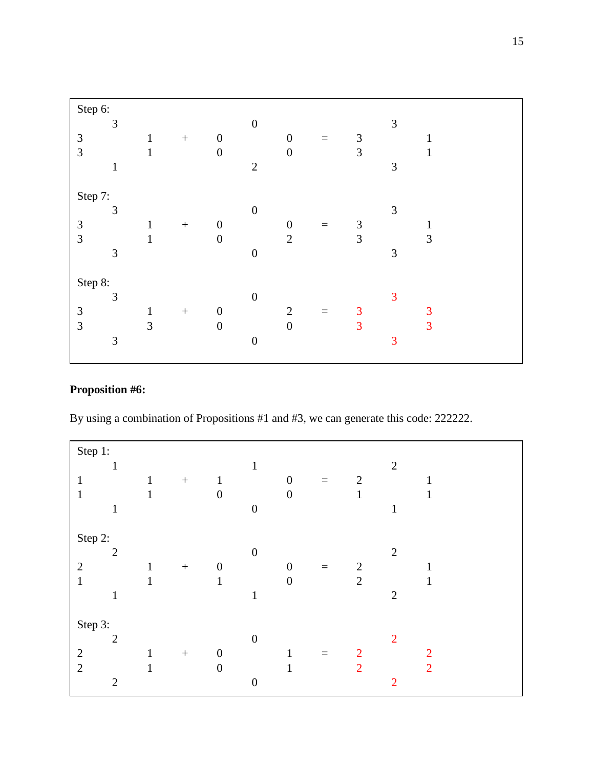| Step 6: |                |              |                  |                  |                  |                  |          |                             |                |              |  |
|---------|----------------|--------------|------------------|------------------|------------------|------------------|----------|-----------------------------|----------------|--------------|--|
|         | 3              |              |                  |                  | $\boldsymbol{0}$ |                  |          |                             | $\mathfrak{Z}$ |              |  |
| 3       |                | $\mathbf{1}$ | $\boldsymbol{+}$ | $\boldsymbol{0}$ |                  | $\boldsymbol{0}$ | $\equiv$ | $\mathfrak{Z}$              |                | 1            |  |
| 3       |                | $\mathbf{1}$ |                  | $\boldsymbol{0}$ |                  | $\boldsymbol{0}$ |          | 3                           |                | $\mathbf{1}$ |  |
|         | $\mathbf{1}$   |              |                  |                  | $\mathbf{2}$     |                  |          |                             | 3              |              |  |
|         |                |              |                  |                  |                  |                  |          |                             |                |              |  |
| Step 7: |                |              |                  |                  |                  |                  |          |                             |                |              |  |
|         | 3              |              |                  |                  | $\boldsymbol{0}$ |                  |          |                             | $\mathfrak{Z}$ |              |  |
| 3       |                | $\,1$        | $\boldsymbol{+}$ | $\boldsymbol{0}$ |                  | $\boldsymbol{0}$ | $\equiv$ | $\ensuremath{\mathfrak{Z}}$ |                |              |  |
| 3       |                | $\mathbf{1}$ |                  | $\boldsymbol{0}$ |                  | $\overline{2}$   |          | 3                           |                | 3            |  |
|         | $\mathfrak{Z}$ |              |                  |                  | $\boldsymbol{0}$ |                  |          |                             | $\mathfrak{Z}$ |              |  |
|         |                |              |                  |                  |                  |                  |          |                             |                |              |  |
| Step 8: |                |              |                  |                  |                  |                  |          |                             |                |              |  |
|         | 3              |              |                  |                  | $\boldsymbol{0}$ |                  |          |                             | 3              |              |  |
| 3       |                | $\,1\,$      | $\boldsymbol{+}$ | $\boldsymbol{0}$ |                  | $\mathbf{2}$     | $\equiv$ | 3                           |                | 3            |  |
| 3       |                | 3            |                  | $\boldsymbol{0}$ |                  | $\boldsymbol{0}$ |          | 3                           |                | 3            |  |
|         | $\mathfrak{Z}$ |              |                  |                  | $\boldsymbol{0}$ |                  |          |                             | 3              |              |  |
|         |                |              |                  |                  |                  |                  |          |                             |                |              |  |

# **Proposition #6:**

By using a combination of Propositions #1 and #3, we can generate this code: 222222.

| Step 1:        |                |              |                  |                  |                  |                  |          |                |                |                |
|----------------|----------------|--------------|------------------|------------------|------------------|------------------|----------|----------------|----------------|----------------|
|                | $\mathbf{1}$   |              |                  |                  | $\mathbf{1}$     |                  |          |                | $\overline{2}$ |                |
| $\mathbf{1}$   |                | $\mathbf{1}$ | $\boldsymbol{+}$ | $\mathbf{1}$     |                  | $\boldsymbol{0}$ | $\equiv$ | $\overline{2}$ |                |                |
| $\mathbf{1}$   |                | $\mathbf{1}$ |                  | $\boldsymbol{0}$ |                  | $\boldsymbol{0}$ |          | 1              |                |                |
|                | $\mathbf{1}$   |              |                  |                  | $\overline{0}$   |                  |          |                | $\mathbf{1}$   |                |
|                |                |              |                  |                  |                  |                  |          |                |                |                |
| Step 2:        |                |              |                  |                  |                  |                  |          |                |                |                |
|                | $\overline{2}$ |              |                  |                  | $\boldsymbol{0}$ |                  |          |                | $\overline{2}$ |                |
| $\overline{2}$ |                | 1            | $\boldsymbol{+}$ | $\boldsymbol{0}$ |                  | 0                | $\equiv$ | $\overline{2}$ |                |                |
| $\mathbf{1}$   |                | 1            |                  | $\mathbf{1}$     |                  | $\boldsymbol{0}$ |          | $\overline{2}$ |                |                |
|                | $\mathbf{1}$   |              |                  |                  | $\mathbf{1}$     |                  |          |                | $\overline{2}$ |                |
|                |                |              |                  |                  |                  |                  |          |                |                |                |
| Step 3:        |                |              |                  |                  |                  |                  |          |                |                |                |
|                | $\overline{2}$ |              |                  |                  |                  |                  |          |                | $\overline{2}$ |                |
|                |                |              |                  |                  |                  | 1                | $\equiv$ |                |                |                |
| $\overline{2}$ |                | 1            |                  | $\boldsymbol{0}$ |                  | 1                |          | $\overline{2}$ |                | $\overline{2}$ |
|                | $\overline{2}$ |              |                  |                  | $\overline{0}$   |                  |          |                | $\overline{2}$ |                |
| $\overline{2}$ |                | $\mathbf{1}$ | $\boldsymbol{+}$ | $\boldsymbol{0}$ | $\boldsymbol{0}$ |                  |          | $\overline{2}$ |                | $\overline{2}$ |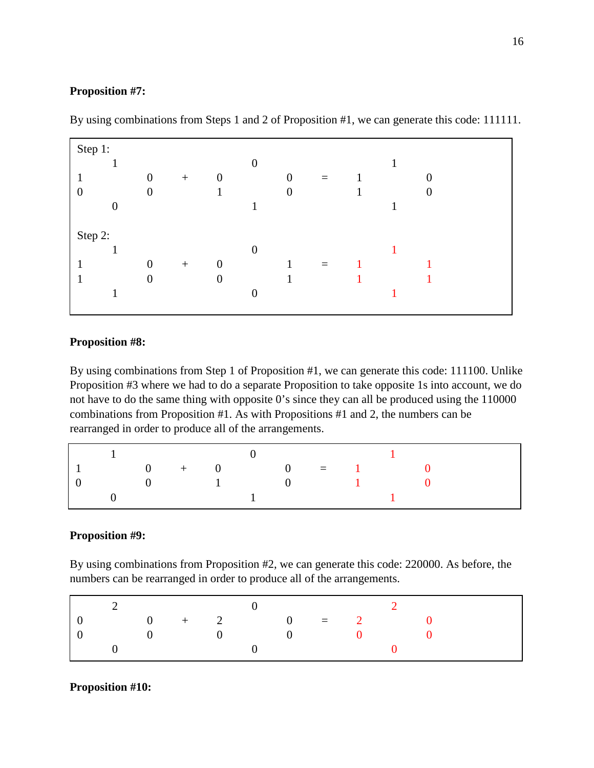# **Proposition #7:**

| Step 1:        |                |                  |                  |                  |                |          |  |   |  |
|----------------|----------------|------------------|------------------|------------------|----------------|----------|--|---|--|
|                |                |                  |                  | $\boldsymbol{0}$ |                |          |  |   |  |
|                | $\overline{0}$ | $\boldsymbol{+}$ | $\boldsymbol{0}$ |                  | $\overline{0}$ | $\equiv$ |  | 0 |  |
| 0              | $\overline{0}$ |                  |                  |                  | $\theta$       |          |  | 0 |  |
| $\overline{0}$ |                |                  |                  |                  |                |          |  |   |  |
|                |                |                  |                  |                  |                |          |  |   |  |
| Step 2:        |                |                  |                  |                  |                |          |  |   |  |
|                |                |                  |                  | $\boldsymbol{0}$ |                |          |  |   |  |
|                | $\overline{0}$ | $\boldsymbol{+}$ | $\boldsymbol{0}$ |                  |                | $=$      |  |   |  |
|                | $\overline{0}$ |                  | $\theta$         |                  |                |          |  |   |  |
|                |                |                  |                  | $\overline{0}$   |                |          |  |   |  |
|                |                |                  |                  |                  |                |          |  |   |  |

By using combinations from Steps 1 and 2 of Proposition #1, we can generate this code: 111111.

# **Proposition #8:**

By using combinations from Step 1 of Proposition #1, we can generate this code: 111100. Unlike Proposition #3 where we had to do a separate Proposition to take opposite 1s into account, we do not have to do the same thing with opposite 0's since they can all be produced using the 110000 combinations from Proposition #1. As with Propositions #1 and 2, the numbers can be rearranged in order to produce all of the arrangements.

|  | $\begin{array}{ccc} \vert & 1 & \vert & 0 & \vert & 1 \end{array}$                         |  |  |  |  |
|--|--------------------------------------------------------------------------------------------|--|--|--|--|
|  | $\begin{array}{ccccccccc}\n1 & 0 & + & 0 & 0 & = & 1 & 0\n\end{array}$                     |  |  |  |  |
|  | $\begin{array}{ccccccccccccccccc}\n0 & & & 0 & & & 1 & & & 0 & & & 1 & & & 0\n\end{array}$ |  |  |  |  |
|  |                                                                                            |  |  |  |  |

# **Proposition #9:**

By using combinations from Proposition #2, we can generate this code: 220000. As before, the numbers can be rearranged in order to produce all of the arrangements.

|  |  |              | $+$ 2 0 = 2 |  |  |  |
|--|--|--------------|-------------|--|--|--|
|  |  | $\mathbf{0}$ | $\bigcup$   |  |  |  |
|  |  |              |             |  |  |  |

## **Proposition #10:**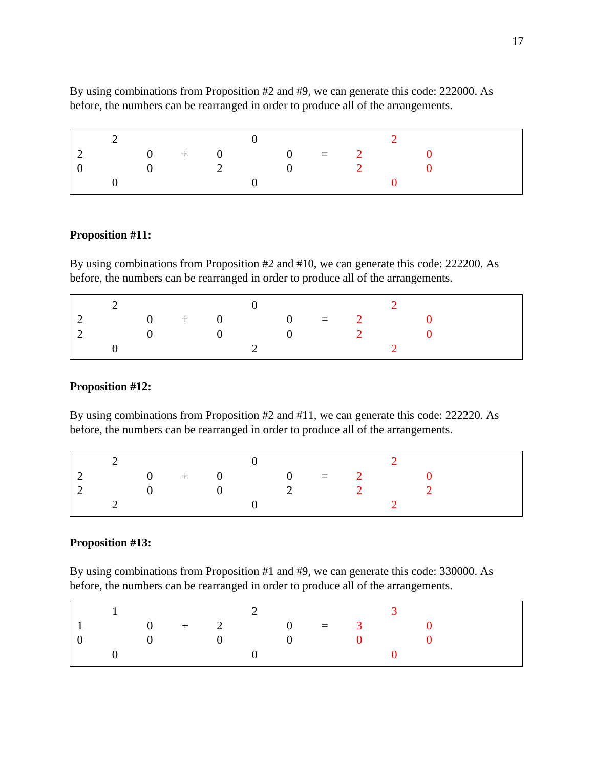|  |  |  | 2 and $\begin{array}{ccc} 0 & 2 \end{array}$                                            |  |  |
|--|--|--|-----------------------------------------------------------------------------------------|--|--|
|  |  |  | $2 \qquad \qquad 0 \qquad + \qquad 0 \qquad \qquad 0 \qquad = \qquad 2 \qquad \qquad 0$ |  |  |
|  |  |  | $\begin{array}{ccccccc} 0 & 2 & 0 & 2 & 0 \end{array}$                                  |  |  |
|  |  |  |                                                                                         |  |  |

By using combinations from Proposition #2 and #9, we can generate this code: 222000. As before, the numbers can be rearranged in order to produce all of the arrangements.

#### **Proposition #11:**

By using combinations from Proposition #2 and #10, we can generate this code: 222200. As before, the numbers can be rearranged in order to produce all of the arrangements.

|  | $0 + 0 = 2$                                         |  |  |  |  |
|--|-----------------------------------------------------|--|--|--|--|
|  | $0 \qquad \qquad 0 \qquad \qquad 0 \qquad \qquad 2$ |  |  |  |  |
|  |                                                     |  |  |  |  |

## **Proposition #12:**

By using combinations from Proposition #2 and #11, we can generate this code: 222220. As before, the numbers can be rearranged in order to produce all of the arrangements.

| $\vert 2 \vert$                    | $0 + 0 = 2$ |  |  |                   |  |  |  |
|------------------------------------|-------------|--|--|-------------------|--|--|--|
|                                    |             |  |  |                   |  |  |  |
| $\begin{array}{ccc} \end{array}$ 2 |             |  |  | $\sim$ 0 $\sim$ 2 |  |  |  |

#### **Proposition #13:**

By using combinations from Proposition #1 and #9, we can generate this code: 330000. As before, the numbers can be rearranged in order to produce all of the arrangements.

|  |  |  | $\begin{array}{ccc} & 1 & \hspace{1.5cm} & 2 & \hspace{1.5cm} & 3 \end{array}$ |  |  |  |
|--|--|--|--------------------------------------------------------------------------------|--|--|--|
|  |  |  | $\begin{array}{ccccccccc}\n & 1 & & 0 & + & 2 & 0 & = & 3 & 0\n\end{array}$    |  |  |  |
|  |  |  | $\begin{array}{ccccccccccccccccc}\n0 & 0 & 0 & 0 & 0 & 0\n\end{array}$         |  |  |  |
|  |  |  | $\begin{array}{ccc} 0 & 0 & 0 \end{array}$                                     |  |  |  |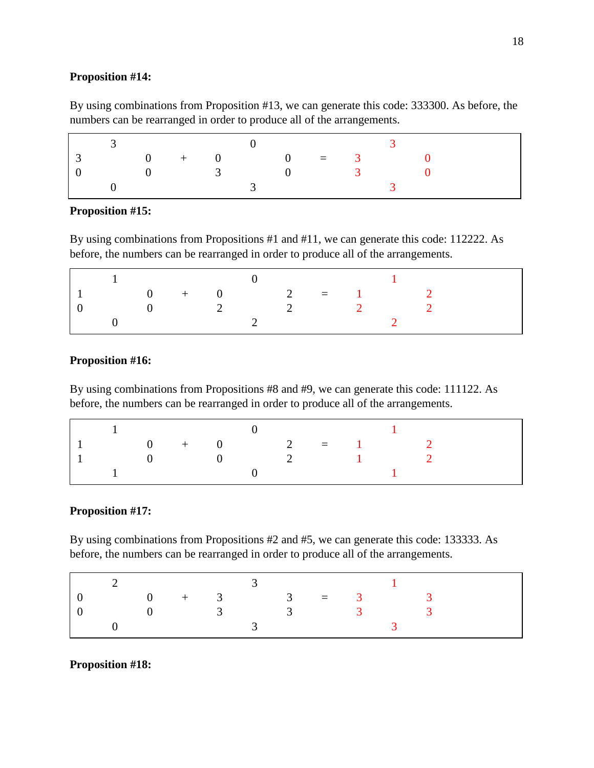#### **Proposition #14:**

By using combinations from Proposition #13, we can generate this code: 333300. As before, the numbers can be rearranged in order to produce all of the arrangements.

|  | $\sim 0$ |                | $+$ 0 0 = 3    |                |  |
|--|----------|----------------|----------------|----------------|--|
|  | $\Omega$ | $\overline{3}$ | $\overline{0}$ | $\overline{3}$ |  |
|  |          |                |                |                |  |

## **Proposition #15:**

By using combinations from Propositions #1 and #11, we can generate this code: 112222. As before, the numbers can be rearranged in order to produce all of the arrangements.

|  | $+$ 0 2 = 1 |           |   |  |  |  |
|--|-------------|-----------|---|--|--|--|
|  |             | $\sim$ 2. | 2 |  |  |  |
|  |             |           |   |  |  |  |

## **Proposition #16:**

By using combinations from Propositions #8 and #9, we can generate this code: 111122. As before, the numbers can be rearranged in order to produce all of the arrangements.

| $0 + 0$ 2 = 1 2 |                  |                  |                |                            |  |  |
|-----------------|------------------|------------------|----------------|----------------------------|--|--|
|                 | $\left( \right)$ | $\left( \right)$ | $\overline{2}$ | the company of the company |  |  |
|                 |                  |                  |                |                            |  |  |

#### **Proposition #17:**

By using combinations from Propositions #2 and #5, we can generate this code: 133333. As before, the numbers can be rearranged in order to produce all of the arrangements.

|  |  |  | $\frac{2}{3}$ 1                                                     |  |  |
|--|--|--|---------------------------------------------------------------------|--|--|
|  |  |  | $0 + 3 = 3$ $1 + 3$                                                 |  |  |
|  |  |  | $0 \qquad \qquad 3 \qquad \qquad 3 \qquad \qquad 3 \qquad \qquad 3$ |  |  |
|  |  |  |                                                                     |  |  |

#### **Proposition #18:**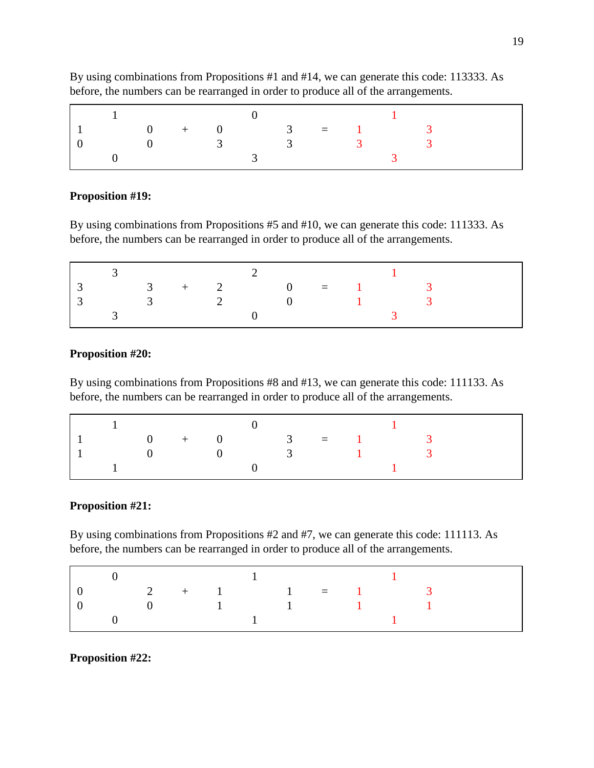|  |                                                     |  |  | $\sim$ 1 |  |  |  |
|--|-----------------------------------------------------|--|--|----------|--|--|--|
|  | $0 + 0$ 3 = 1 3                                     |  |  |          |  |  |  |
|  | $0 \qquad \qquad 3 \qquad \qquad 3 \qquad \qquad 3$ |  |  |          |  |  |  |
|  |                                                     |  |  |          |  |  |  |

By using combinations from Propositions #1 and #14, we can generate this code: 113333. As before, the numbers can be rearranged in order to produce all of the arrangements.

#### **Proposition #19:**

By using combinations from Propositions #5 and #10, we can generate this code: 111333. As before, the numbers can be rearranged in order to produce all of the arrangements.

|  |  |  | $3 + 2 = 0 = 1$ 3                                   |  |  |  |
|--|--|--|-----------------------------------------------------|--|--|--|
|  |  |  | $3 \qquad \qquad 2 \qquad \qquad 0 \qquad \qquad 1$ |  |  |  |
|  |  |  |                                                     |  |  |  |

# **Proposition #20:**

By using combinations from Propositions #8 and #13, we can generate this code: 111133. As before, the numbers can be rearranged in order to produce all of the arrangements.

|  |  |  | $\begin{array}{ccc} \vert & 1 & \vert & 0 & \vert & 1 \end{array}$         |  |  |  |
|--|--|--|----------------------------------------------------------------------------|--|--|--|
|  |  |  | $\begin{array}{ccccccccc}\n1 & 0 & + & 0 & 3 & = & 1 & 3\n\end{array}$     |  |  |  |
|  |  |  | $\begin{array}{ccccccccccc} & 1 & & 0 & & 0 & & 3 & & 1 & & 3 \end{array}$ |  |  |  |
|  |  |  |                                                                            |  |  |  |

#### **Proposition #21:**

By using combinations from Propositions #2 and #7, we can generate this code: 111113. As before, the numbers can be rearranged in order to produce all of the arrangements.

|                                                                    |  |  | $\begin{array}{ccc} 0 & 1 & 1 \end{array}$                                                                           |  |  |
|--------------------------------------------------------------------|--|--|----------------------------------------------------------------------------------------------------------------------|--|--|
| $2 + 1$ $1 = 1$ $3$                                                |  |  |                                                                                                                      |  |  |
| $\begin{array}{ccccccccccccc}\n0 & 1 & 1 & 1 & 1 & 1\n\end{array}$ |  |  |                                                                                                                      |  |  |
|                                                                    |  |  | $\sim$ 1 and 1 and 1 and 1 and 1 and 1 and 1 and 1 and 1 and 1 and 1 and 1 and 1 and 1 and 1 and 1 and 1 and 1 and 1 |  |  |

#### **Proposition #22:**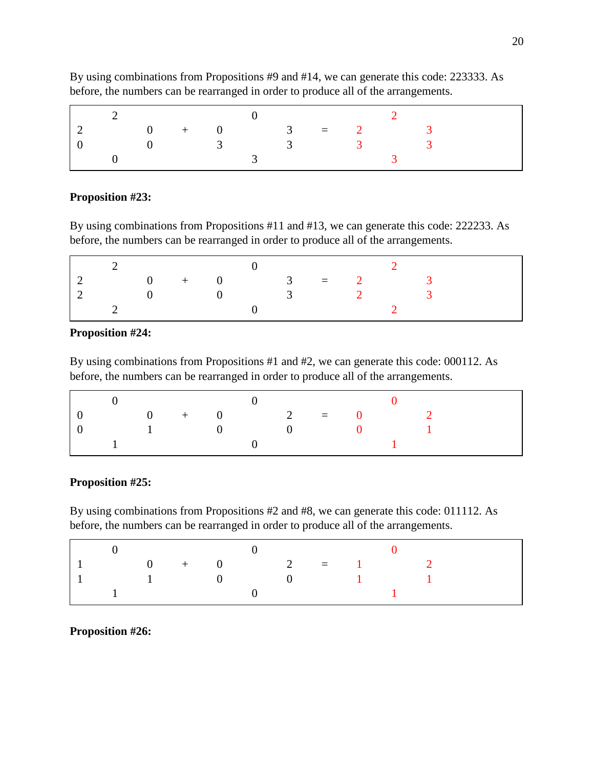| $0 + 0$ 3 = 2 |          |                |  |                 |  |  |
|---------------|----------|----------------|--|-----------------|--|--|
|               | $\theta$ | $\overline{3}$ |  | $\frac{3}{3}$ 3 |  |  |
|               |          |                |  |                 |  |  |

By using combinations from Propositions #9 and #14, we can generate this code: 223333. As before, the numbers can be rearranged in order to produce all of the arrangements.

# **Proposition #23:**

By using combinations from Propositions #11 and #13, we can generate this code: 222233. As before, the numbers can be rearranged in order to produce all of the arrangements.

|  | $\overline{0}$ |  |                | $+$ 0 3 = 2 |  |  |  |
|--|----------------|--|----------------|-------------|--|--|--|
|  |                |  | $\overline{3}$ |             |  |  |  |
|  |                |  |                |             |  |  |  |

# **Proposition #24:**

By using combinations from Propositions #1 and #2, we can generate this code: 000112. As before, the numbers can be rearranged in order to produce all of the arrangements.

|  | $\Omega$       | $+$ 0 2 = 0                          |  |                |  |  |  |
|--|----------------|--------------------------------------|--|----------------|--|--|--|
|  | $\overline{1}$ | $\overline{1}$ () and $\overline{1}$ |  | $\overline{1}$ |  |  |  |
|  |                |                                      |  |                |  |  |  |

# **Proposition #25:**

By using combinations from Propositions #2 and #8, we can generate this code: 011112. As before, the numbers can be rearranged in order to produce all of the arrangements.

| $0 + 0$ 2 = 1 2 |  |  |  |  |  |
|-----------------|--|--|--|--|--|
| 1 0 0 1 1       |  |  |  |  |  |
|                 |  |  |  |  |  |

**Proposition #26:**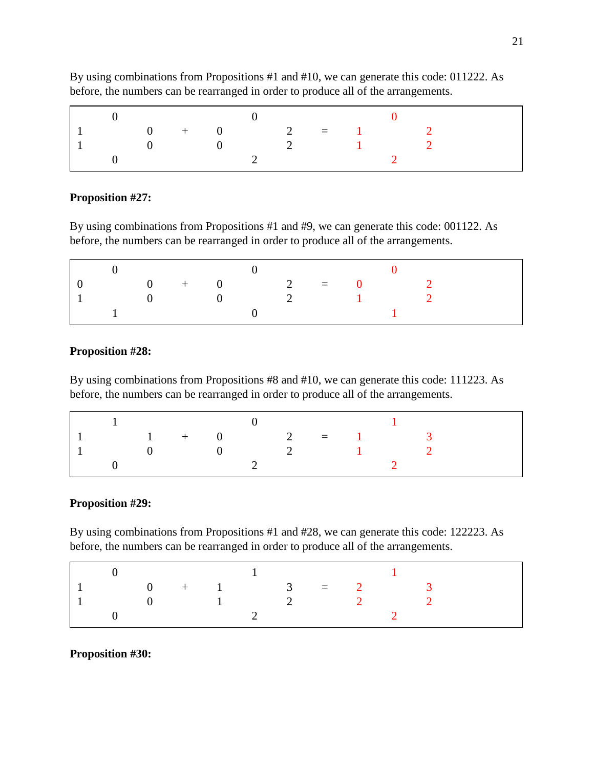|           |                 |  | $\sim$ 0                                                            |  |  |  |
|-----------|-----------------|--|---------------------------------------------------------------------|--|--|--|
| $\cdot$ 1 | $0 + 0$ 2 = 1 2 |  |                                                                     |  |  |  |
|           |                 |  | $0 \qquad \qquad 0 \qquad \qquad 2 \qquad \qquad 1 \qquad \qquad 2$ |  |  |  |
|           |                 |  |                                                                     |  |  |  |

By using combinations from Propositions #1 and #10, we can generate this code: 011222. As before, the numbers can be rearranged in order to produce all of the arrangements.

# **Proposition #27:**

By using combinations from Propositions #1 and #9, we can generate this code: 001122. As before, the numbers can be rearranged in order to produce all of the arrangements.

| $\begin{array}{ccccccccc}\n0 & + & 0 & 2 & = & 0\n\end{array}$ |                |  |                                                     |  |  |  |
|----------------------------------------------------------------|----------------|--|-----------------------------------------------------|--|--|--|
|                                                                | $\overline{0}$ |  | $0 \qquad \qquad 2 \qquad \qquad 1 \qquad \qquad 2$ |  |  |  |
|                                                                |                |  |                                                     |  |  |  |

# **Proposition #28:**

By using combinations from Propositions #8 and #10, we can generate this code: 111223. As before, the numbers can be rearranged in order to produce all of the arrangements.

| $\frac{1}{1}$ 0 1                                                               |  |  |  |  |  |
|---------------------------------------------------------------------------------|--|--|--|--|--|
| $\begin{array}{ccccccccccccccccc}\n1 & 1 & + & 0 & 2 & = & 1 & 3\n\end{array}$  |  |  |  |  |  |
| $\begin{array}{ccccccccccccc}\n & 1 & & 0 & & 0 & & 2 & & 1 & & 2\n\end{array}$ |  |  |  |  |  |
|                                                                                 |  |  |  |  |  |

# **Proposition #29:**

By using combinations from Propositions #1 and #28, we can generate this code: 122223. As before, the numbers can be rearranged in order to produce all of the arrangements.

| $0 + 1$ 3 = 2 |             |  |  |  |  |  |
|---------------|-------------|--|--|--|--|--|
|               | 0 1 2 2 2 2 |  |  |  |  |  |
|               |             |  |  |  |  |  |

#### **Proposition #30:**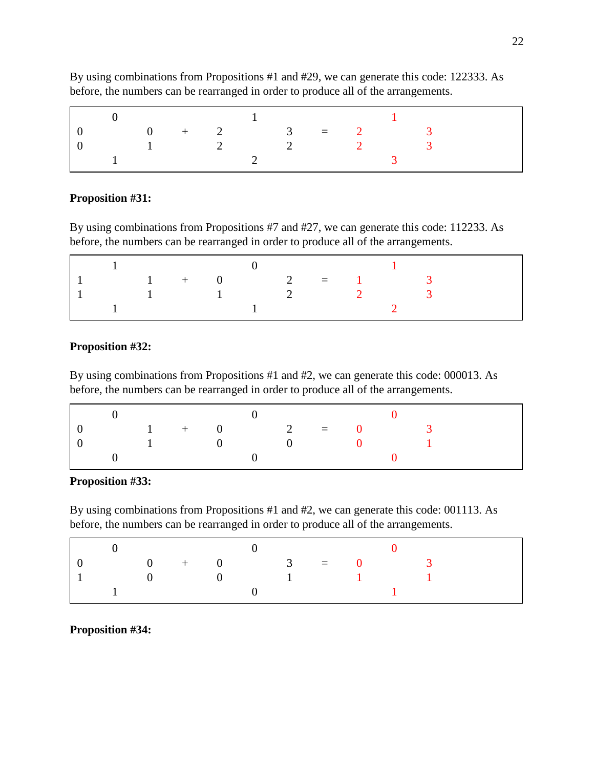|  |          |                | and the property of the |                |                |  |  |
|--|----------|----------------|-------------------------|----------------|----------------|--|--|
|  |          |                |                         |                | $0 + 2$ 3 = 2  |  |  |
|  | $\sim$ 1 | $\overline{2}$ |                         | $\overline{2}$ | $\overline{2}$ |  |  |
|  |          |                |                         |                |                |  |  |

By using combinations from Propositions #1 and #29, we can generate this code: 122333. As before, the numbers can be rearranged in order to produce all of the arrangements.

# **Proposition #31:**

By using combinations from Propositions #7 and #27, we can generate this code: 112233. As before, the numbers can be rearranged in order to produce all of the arrangements.

| $1 + 0$ $2 = 1$ 3                                   |  |  |  |  |  |  |
|-----------------------------------------------------|--|--|--|--|--|--|
| $1 \qquad \qquad 1 \qquad \qquad 2 \qquad \qquad 2$ |  |  |  |  |  |  |
|                                                     |  |  |  |  |  |  |

# **Proposition #32:**

By using combinations from Propositions #1 and #2, we can generate this code: 000013. As before, the numbers can be rearranged in order to produce all of the arrangements.

|  |          |                |  |          | $1 + 0$ $2 = 0$ |              |  |  |
|--|----------|----------------|--|----------|-----------------|--------------|--|--|
|  | $\sim$ 1 | $\overline{0}$ |  | $\sim$ 0 |                 | $\mathbf{0}$ |  |  |
|  |          |                |  |          |                 |              |  |  |

## **Proposition #33:**

By using combinations from Propositions #1 and #2, we can generate this code: 001113. As before, the numbers can be rearranged in order to produce all of the arrangements.

| $\hspace{.1cm}0\hspace{.1cm}$ $\hspace{.1cm}0\hspace{.1cm}$                                                 |  |  |  |  |  |  |
|-------------------------------------------------------------------------------------------------------------|--|--|--|--|--|--|
| $\begin{array}{ccccccccc}\n & 0 & & + & 0 & & 3 & = & 0 & & 3\n\end{array}$                                 |  |  |  |  |  |  |
| $\begin{array}{ccccccccccccc}\n\begin{array}{ccccccccccc}\n1 & 0 & 0 & 1 & 1 & 1\n\end{array}\n\end{array}$ |  |  |  |  |  |  |
|                                                                                                             |  |  |  |  |  |  |

**Proposition #34:**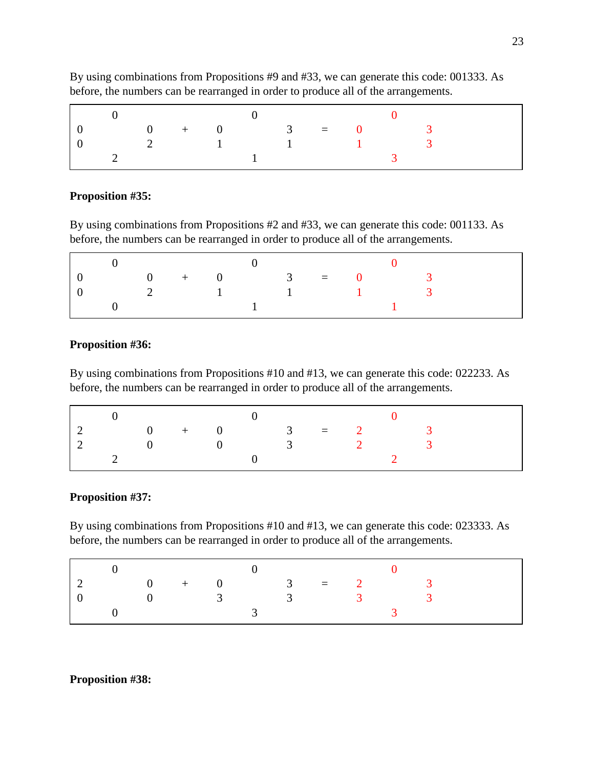|  |                 |  | $\overline{a}$ |  |  |  |  |
|--|-----------------|--|----------------|--|--|--|--|
|  | $0 + 0$ 3 = 0 3 |  |                |  |  |  |  |
|  | 2 1 1 1 3       |  |                |  |  |  |  |
|  |                 |  |                |  |  |  |  |

By using combinations from Propositions #9 and #33, we can generate this code: 001333. As before, the numbers can be rearranged in order to produce all of the arrangements.

#### **Proposition #35:**

By using combinations from Propositions #2 and #33, we can generate this code: 001133. As before, the numbers can be rearranged in order to produce all of the arrangements.

|                                 | $0 + 0$ 3 = 0                                       |  |  |  |  |  |  |
|---------------------------------|-----------------------------------------------------|--|--|--|--|--|--|
| $\begin{matrix} 0 \end{matrix}$ | $2 \qquad \qquad 1 \qquad \qquad 1 \qquad \qquad 1$ |  |  |  |  |  |  |
|                                 |                                                     |  |  |  |  |  |  |

#### **Proposition #36:**

By using combinations from Propositions #10 and #13, we can generate this code: 022233. As before, the numbers can be rearranged in order to produce all of the arrangements.

| $0 + 0$ 3 = 2 3 |                                          |  |                 |  |  |
|-----------------|------------------------------------------|--|-----------------|--|--|
|                 | $\begin{array}{ccc} 0 & & 0 \end{array}$ |  | $\frac{3}{2}$ 2 |  |  |
|                 |                                          |  |                 |  |  |

#### **Proposition #37:**

By using combinations from Propositions #10 and #13, we can generate this code: 023333. As before, the numbers can be rearranged in order to produce all of the arrangements.

|  | $+$ 0 3 |  | $= 2$ |  |  |
|--|---------|--|-------|--|--|
|  |         |  |       |  |  |
|  |         |  |       |  |  |

#### **Proposition #38:**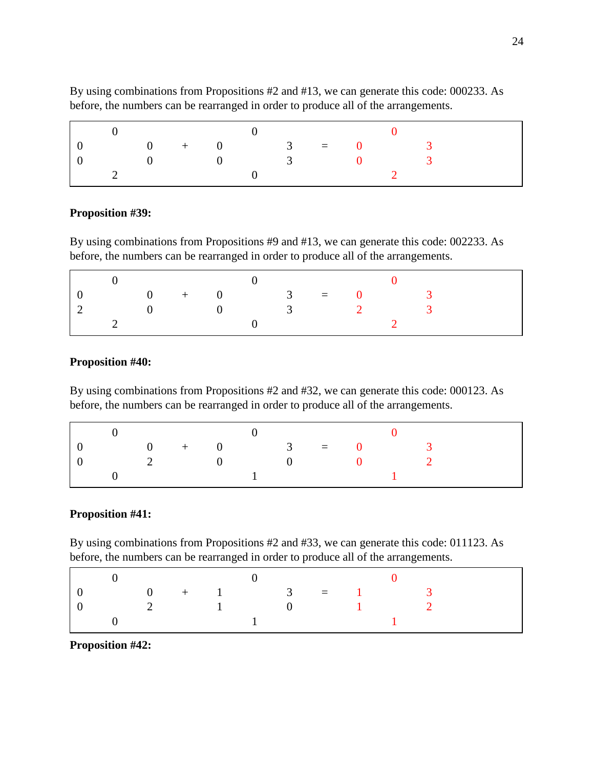|                 |  |  | $\left( \right)$                                    |  |  |
|-----------------|--|--|-----------------------------------------------------|--|--|
| $0 + 0$ 3 = 0 3 |  |  |                                                     |  |  |
|                 |  |  | $0 \qquad \qquad 0 \qquad \qquad 3 \qquad \qquad 0$ |  |  |
|                 |  |  |                                                     |  |  |

By using combinations from Propositions #2 and #13, we can generate this code: 000233. As before, the numbers can be rearranged in order to produce all of the arrangements.

#### **Proposition #39:**

By using combinations from Propositions #9 and #13, we can generate this code: 002233. As before, the numbers can be rearranged in order to produce all of the arrangements.

| $0 + 0$ 3 = 0 |                     |  |                  |  |  |  |
|---------------|---------------------|--|------------------|--|--|--|
|               | $0 \qquad \qquad 0$ |  | $\overline{3}$ 2 |  |  |  |
|               |                     |  |                  |  |  |  |

## **Proposition #40:**

By using combinations from Propositions #2 and #32, we can generate this code: 000123. As before, the numbers can be rearranged in order to produce all of the arrangements.

|  |  |  | $\sim$ 0                                                                        |  |  |  |
|--|--|--|---------------------------------------------------------------------------------|--|--|--|
|  |  |  | $\begin{array}{ccccccccccc}\n & 0 & & + & & 0 & & 3 & = & 0 & & 3\n\end{array}$ |  |  |  |
|  |  |  | $\begin{array}{ccccccccccccc}\n & 0 & & & 0 & & & 0 & & & 2\n\end{array}$       |  |  |  |
|  |  |  | $\mathbf{1}$                                                                    |  |  |  |

# **Proposition #41:**

By using combinations from Propositions #2 and #33, we can generate this code: 011123. As before, the numbers can be rearranged in order to produce all of the arrangements.

|  | $0 + 1$ 3 = 1 3 |  |  |  |  |
|--|-----------------|--|--|--|--|
|  | 2 1 0 1 2       |  |  |  |  |
|  |                 |  |  |  |  |

**Proposition #42:**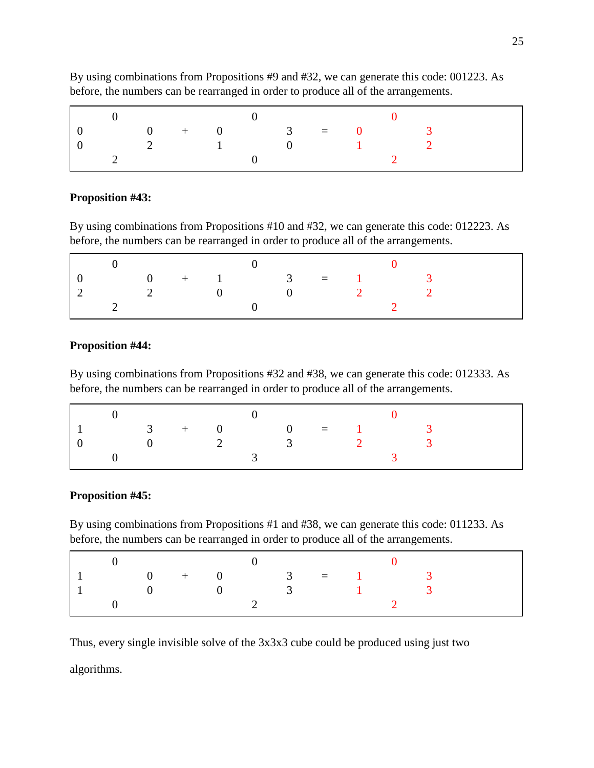|  |                          |                                | $0 + 0$ 3 = 0 |          |  |  |  |
|--|--------------------------|--------------------------------|---------------|----------|--|--|--|
|  | $\overline{\mathcal{L}}$ | $\sim$ 1.000 $\pm$ 1.000 $\pm$ |               | $\sim$ 0 |  |  |  |
|  |                          |                                |               |          |  |  |  |

By using combinations from Propositions #9 and #32, we can generate this code: 001223. As before, the numbers can be rearranged in order to produce all of the arrangements.

# **Proposition #43:**

By using combinations from Propositions #10 and #32, we can generate this code: 012223. As before, the numbers can be rearranged in order to produce all of the arrangements.

|  |                |           |                                                                     | $0 + 1$ 3 = 1 |  |  |  |
|--|----------------|-----------|---------------------------------------------------------------------|---------------|--|--|--|
|  | $\overline{2}$ | $\bigcap$ | $\left( \begin{array}{ccc} 0 & \cdots & \cdots \end{array} \right)$ |               |  |  |  |
|  |                |           |                                                                     |               |  |  |  |

#### **Proposition #44:**

By using combinations from Propositions #32 and #38, we can generate this code: 012333. As before, the numbers can be rearranged in order to produce all of the arrangements.

|  |                                        |  | $3 + 0 = 1$ 3   |  |  |
|--|----------------------------------------|--|-----------------|--|--|
|  | $\begin{array}{ccc} 0 & 2 \end{array}$ |  | $\frac{3}{2}$ 2 |  |  |
|  |                                        |  |                 |  |  |

# **Proposition #45:**

By using combinations from Propositions #1 and #38, we can generate this code: 011233. As before, the numbers can be rearranged in order to produce all of the arrangements.

| $0 + 0$ 3 = 1 |  |  |                                                     |  |  |
|---------------|--|--|-----------------------------------------------------|--|--|
|               |  |  | $0 \qquad \qquad 0 \qquad \qquad 3 \qquad \qquad 1$ |  |  |
|               |  |  |                                                     |  |  |

Thus, every single invisible solve of the 3x3x3 cube could be produced using just two algorithms.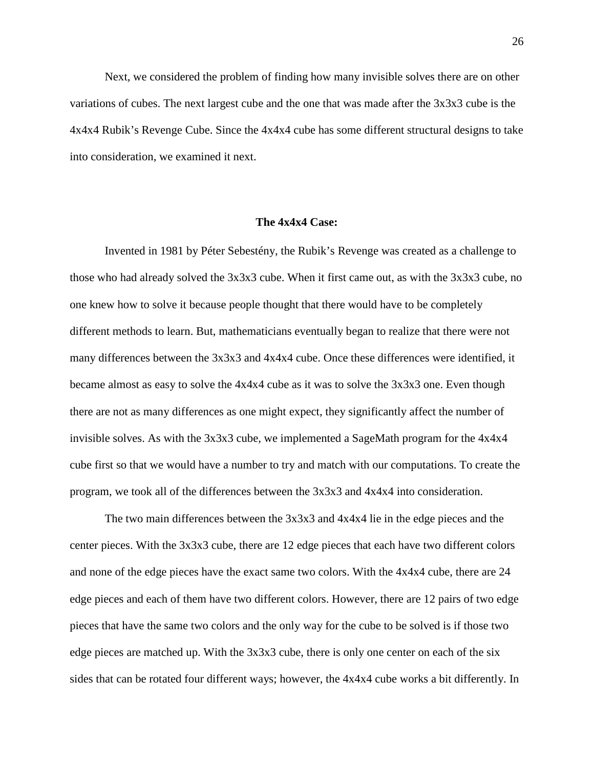Next, we considered the problem of finding how many invisible solves there are on other variations of cubes. The next largest cube and the one that was made after the 3x3x3 cube is the 4x4x4 Rubik's Revenge Cube. Since the 4x4x4 cube has some different structural designs to take into consideration, we examined it next.

#### **The 4x4x4 Case:**

<span id="page-27-0"></span>Invented in 1981 by Péter Sebestény, the Rubik's Revenge was created as a challenge to those who had already solved the 3x3x3 cube. When it first came out, as with the 3x3x3 cube, no one knew how to solve it because people thought that there would have to be completely different methods to learn. But, mathematicians eventually began to realize that there were not many differences between the 3x3x3 and 4x4x4 cube. Once these differences were identified, it became almost as easy to solve the 4x4x4 cube as it was to solve the 3x3x3 one. Even though there are not as many differences as one might expect, they significantly affect the number of invisible solves. As with the  $3x3x3$  cube, we implemented a SageMath program for the  $4x4x4$ cube first so that we would have a number to try and match with our computations. To create the program, we took all of the differences between the 3x3x3 and 4x4x4 into consideration.

The two main differences between the 3x3x3 and 4x4x4 lie in the edge pieces and the center pieces. With the 3x3x3 cube, there are 12 edge pieces that each have two different colors and none of the edge pieces have the exact same two colors. With the 4x4x4 cube, there are 24 edge pieces and each of them have two different colors. However, there are 12 pairs of two edge pieces that have the same two colors and the only way for the cube to be solved is if those two edge pieces are matched up. With the 3x3x3 cube, there is only one center on each of the six sides that can be rotated four different ways; however, the 4x4x4 cube works a bit differently. In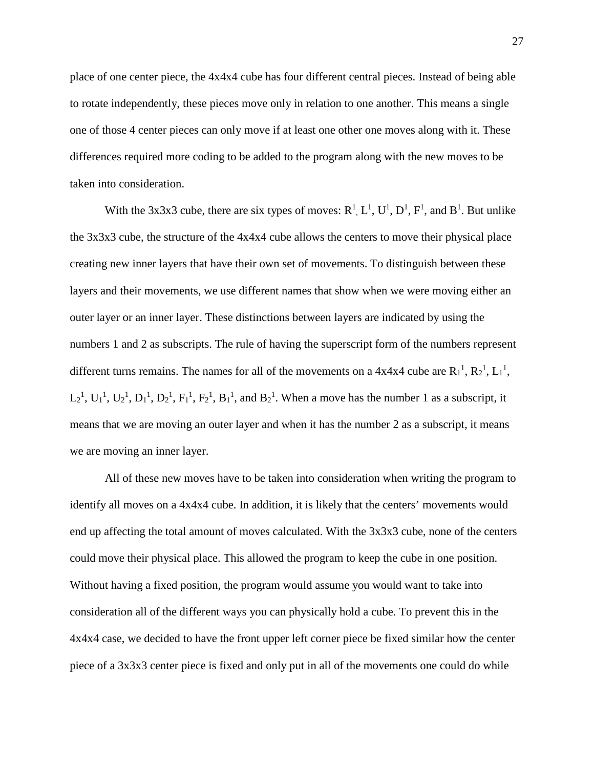place of one center piece, the 4x4x4 cube has four different central pieces. Instead of being able to rotate independently, these pieces move only in relation to one another. This means a single one of those 4 center pieces can only move if at least one other one moves along with it. These differences required more coding to be added to the program along with the new moves to be taken into consideration.

With the 3x3x3 cube, there are six types of moves:  $R^1$ ,  $L^1$ ,  $U^1$ ,  $D^1$ ,  $F^1$ , and  $B^1$ . But unlike the 3x3x3 cube, the structure of the 4x4x4 cube allows the centers to move their physical place creating new inner layers that have their own set of movements. To distinguish between these layers and their movements, we use different names that show when we were moving either an outer layer or an inner layer. These distinctions between layers are indicated by using the numbers 1 and 2 as subscripts. The rule of having the superscript form of the numbers represent different turns remains. The names for all of the movements on a  $4x4x4$  cube are  $R_1^1$ ,  $R_2^1$ ,  $L_1^1$ ,  $L_2$ <sup>1</sup>,  $U_1$ <sup>1</sup>,  $U_2$ <sup>1</sup>,  $D_1$ <sup>1</sup>,  $D_2$ <sup>1</sup>,  $F_1$ <sup>1</sup>,  $F_2$ <sup>1</sup>,  $B_1$ <sup>1</sup>, and  $B_2$ <sup>1</sup>. When a move has the number 1 as a subscript, it means that we are moving an outer layer and when it has the number 2 as a subscript, it means we are moving an inner layer.

All of these new moves have to be taken into consideration when writing the program to identify all moves on a 4x4x4 cube. In addition, it is likely that the centers' movements would end up affecting the total amount of moves calculated. With the 3x3x3 cube, none of the centers could move their physical place. This allowed the program to keep the cube in one position. Without having a fixed position, the program would assume you would want to take into consideration all of the different ways you can physically hold a cube. To prevent this in the 4x4x4 case, we decided to have the front upper left corner piece be fixed similar how the center piece of a 3x3x3 center piece is fixed and only put in all of the movements one could do while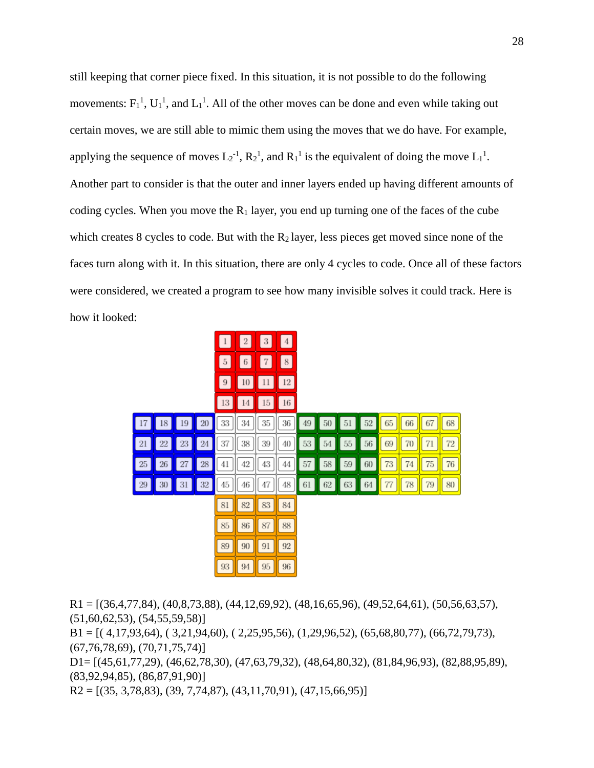still keeping that corner piece fixed. In this situation, it is not possible to do the following movements:  $F_1^1$ ,  $U_1^1$ , and  $L_1^1$ . All of the other moves can be done and even while taking out certain moves, we are still able to mimic them using the moves that we do have. For example, applying the sequence of moves  $L_2^{-1}$ ,  $R_2^{-1}$ , and  $R_1^{-1}$  is the equivalent of doing the move  $L_1^{-1}$ . Another part to consider is that the outer and inner layers ended up having different amounts of coding cycles. When you move the  $R_1$  layer, you end up turning one of the faces of the cube which creates 8 cycles to code. But with the  $R_2$  layer, less pieces get moved since none of the faces turn along with it. In this situation, there are only 4 cycles to code. Once all of these factors were considered, we created a program to see how many invisible solves it could track. Here is how it looked:



 $R1 = [(36,4,77,84), (40,8,73,88), (44,12,69,92), (48,16,65,96), (49,52,64,61), (50,56,63,57),$ (51,60,62,53), (54,55,59,58)]

 $B1 = [(4,17,93,64), (3,21,94,60), (2,25,95,56), (1,29,96,52), (65,68,80,77), (66,72,79,73),$ (67,76,78,69), (70,71,75,74)]

D1= [(45,61,77,29), (46,62,78,30), (47,63,79,32), (48,64,80,32), (81,84,96,93), (82,88,95,89), (83,92,94,85), (86,87,91,90)]

 $R2 = [(35, 3, 78, 83), (39, 7, 74, 87), (43, 11, 70, 91), (47, 15, 66, 95)]$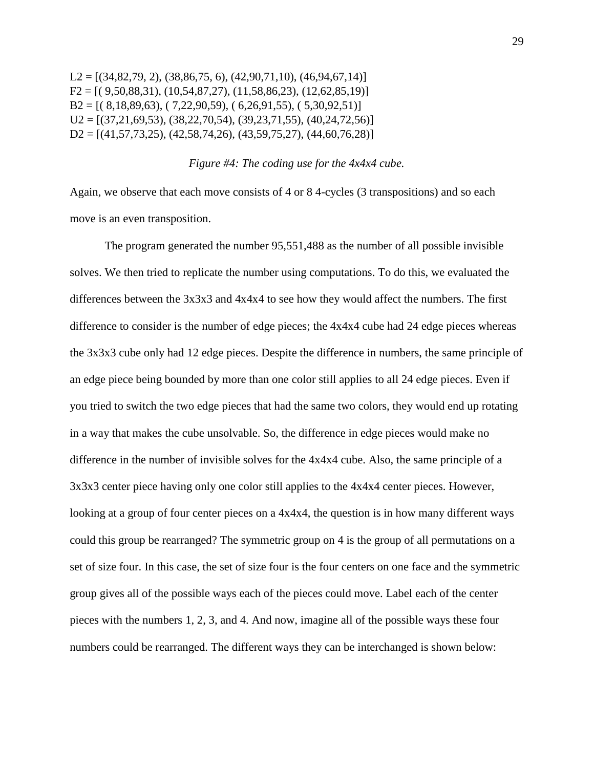$L2 = [(34,82,79, 2), (38,86,75, 6), (42,90,71,10), (46,94,67,14)]$  $F2 = [(9,50,88,31), (10,54,87,27), (11,58,86,23), (12,62,85,19)]$  $B2 = \{(8,18,89,63), (7,22,90,59), (6,26,91,55), (5,30,92,51)\}\$  $U2 = [(37,21,69,53), (38,22,70,54), (39,23,71,55), (40,24,72,56)]$  $D2 = [(41,57,73,25), (42,58,74,26), (43,59,75,27), (44,60,76,28)]$ 

## *Figure #4: The coding use for the 4x4x4 cube.*

Again, we observe that each move consists of 4 or 8 4-cycles (3 transpositions) and so each move is an even transposition.

The program generated the number 95,551,488 as the number of all possible invisible solves. We then tried to replicate the number using computations. To do this, we evaluated the differences between the 3x3x3 and 4x4x4 to see how they would affect the numbers. The first difference to consider is the number of edge pieces; the 4x4x4 cube had 24 edge pieces whereas the 3x3x3 cube only had 12 edge pieces. Despite the difference in numbers, the same principle of an edge piece being bounded by more than one color still applies to all 24 edge pieces. Even if you tried to switch the two edge pieces that had the same two colors, they would end up rotating in a way that makes the cube unsolvable. So, the difference in edge pieces would make no difference in the number of invisible solves for the 4x4x4 cube. Also, the same principle of a 3x3x3 center piece having only one color still applies to the 4x4x4 center pieces. However, looking at a group of four center pieces on a 4x4x4, the question is in how many different ways could this group be rearranged? The symmetric group on 4 is the group of all permutations on a set of size four. In this case, the set of size four is the four centers on one face and the symmetric group gives all of the possible ways each of the pieces could move. Label each of the center pieces with the numbers 1, 2, 3, and 4. And now, imagine all of the possible ways these four numbers could be rearranged. The different ways they can be interchanged is shown below: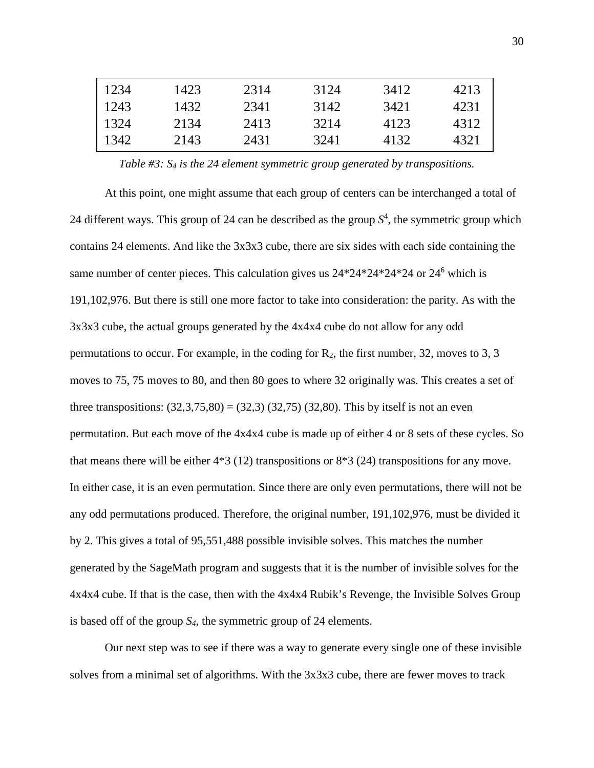| 1234 | 1423 | 2314 | 3124 | 3412 | 4213 |
|------|------|------|------|------|------|
| 1243 | 1432 | 2341 | 3142 | 3421 | 4231 |
| 1324 | 2134 | 2413 | 3214 | 4123 | 4312 |
| 1342 | 2143 | 2431 | 3241 | 4132 | 4321 |

*Table #3: S4 is the 24 element symmetric group generated by transpositions.*

At this point, one might assume that each group of centers can be interchanged a total of 24 different ways. This group of 24 can be described as the group  $S<sup>4</sup>$ , the symmetric group which contains 24 elements. And like the 3x3x3 cube, there are six sides with each side containing the same number of center pieces. This calculation gives us  $24*24*24*24*24$  or  $24<sup>6</sup>$  which is 191,102,976. But there is still one more factor to take into consideration: the parity. As with the 3x3x3 cube, the actual groups generated by the 4x4x4 cube do not allow for any odd permutations to occur. For example, in the coding for  $R_2$ , the first number, 32, moves to 3, 3 moves to 75, 75 moves to 80, and then 80 goes to where 32 originally was. This creates a set of three transpositions:  $(32,3,75,80) = (32,3)(32,75)(32,80)$ . This by itself is not an even permutation. But each move of the 4x4x4 cube is made up of either 4 or 8 sets of these cycles. So that means there will be either  $4*3$  (12) transpositions or  $8*3$  (24) transpositions for any move. In either case, it is an even permutation. Since there are only even permutations, there will not be any odd permutations produced. Therefore, the original number, 191,102,976, must be divided it by 2. This gives a total of 95,551,488 possible invisible solves. This matches the number generated by the SageMath program and suggests that it is the number of invisible solves for the 4x4x4 cube. If that is the case, then with the 4x4x4 Rubik's Revenge, the Invisible Solves Group is based off of the group *S4*, the symmetric group of 24 elements.

Our next step was to see if there was a way to generate every single one of these invisible solves from a minimal set of algorithms. With the 3x3x3 cube, there are fewer moves to track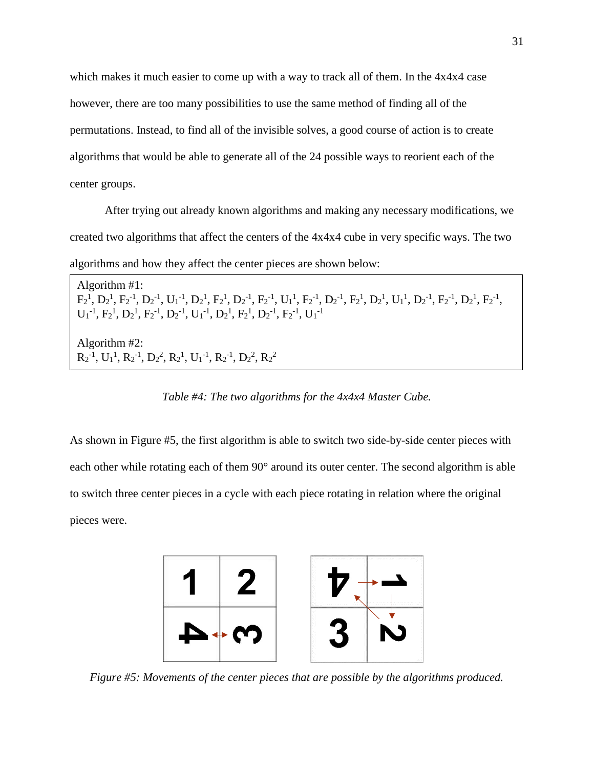which makes it much easier to come up with a way to track all of them. In the  $4x4x4$  case however, there are too many possibilities to use the same method of finding all of the permutations. Instead, to find all of the invisible solves, a good course of action is to create algorithms that would be able to generate all of the 24 possible ways to reorient each of the center groups.

After trying out already known algorithms and making any necessary modifications, we created two algorithms that affect the centers of the 4x4x4 cube in very specific ways. The two algorithms and how they affect the center pieces are shown below:

Algorithm #1:  $F_2^1, D_2^1, F_2^{-1}, D_2^{-1}, U_1^{-1}, D_2^1, F_2^1, D_2^{-1}, F_2^{-1}, U_1^1, F_2^{-1}, D_2^{-1}, F_2^1, D_2^1, U_1^1, D_2^{-1}, F_2^{-1}, D_2^1, F_2^{-1},$  $U_1^{-1}$ ,  $F_2^{-1}$ ,  $D_2^{-1}$ ,  $F_2^{-1}$ ,  $D_2^{-1}$ ,  $U_1^{-1}$ ,  $D_2^{-1}$ ,  $F_2^{-1}$ ,  $D_2^{-1}$ ,  $F_2^{-1}$ ,  $U_1^{-1}$ Algorithm #2:  $R_2^{-1}$ ,  $U_1^1$ ,  $R_2^{-1}$ ,  $D_2^2$ ,  $R_2^1$ ,  $U_1^{-1}$ ,  $R_2^{-1}$ ,  $D_2^2$ ,  $R_2^2$ 

*Table #4: The two algorithms for the 4x4x4 Master Cube.*

As shown in Figure #5, the first algorithm is able to switch two side-by-side center pieces with each other while rotating each of them 90° around its outer center. The second algorithm is able to switch three center pieces in a cycle with each piece rotating in relation where the original pieces were.



*Figure #5: Movements of the center pieces that are possible by the algorithms produced.*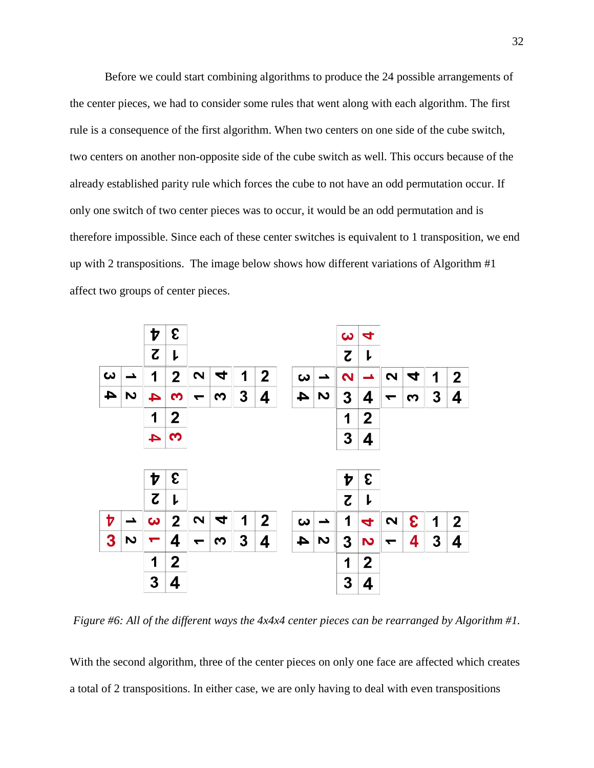Before we could start combining algorithms to produce the 24 possible arrangements of the center pieces, we had to consider some rules that went along with each algorithm. The first rule is a consequence of the first algorithm. When two centers on one side of the cube switch, two centers on another non-opposite side of the cube switch as well. This occurs because of the already established parity rule which forces the cube to not have an odd permutation occur. If only one switch of two center pieces was to occur, it would be an odd permutation and is therefore impossible. Since each of these center switches is equivalent to 1 transposition, we end up with 2 transpositions. The image below shows how different variations of Algorithm #1 affect two groups of center pieces.



*Figure #6: All of the different ways the 4x4x4 center pieces can be rearranged by Algorithm #1.*

With the second algorithm, three of the center pieces on only one face are affected which creates a total of 2 transpositions. In either case, we are only having to deal with even transpositions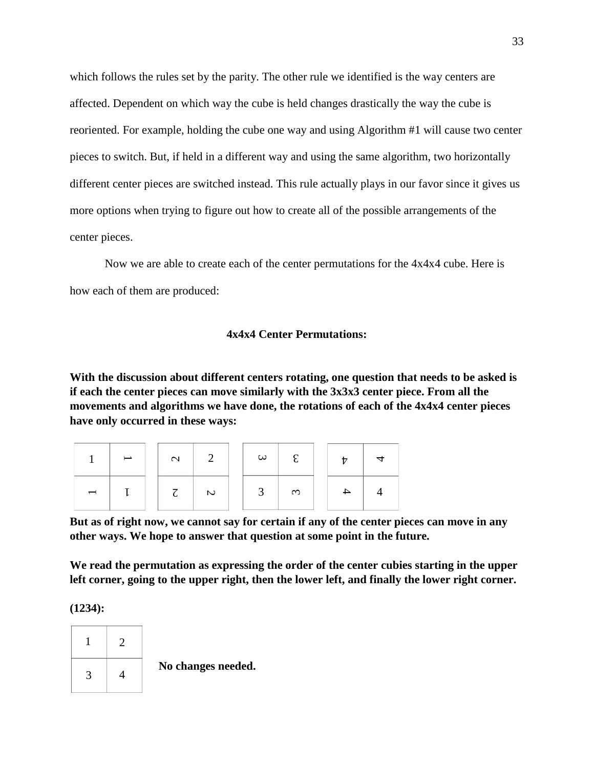which follows the rules set by the parity. The other rule we identified is the way centers are affected. Dependent on which way the cube is held changes drastically the way the cube is reoriented. For example, holding the cube one way and using Algorithm #1 will cause two center pieces to switch. But, if held in a different way and using the same algorithm, two horizontally different center pieces are switched instead. This rule actually plays in our favor since it gives us more options when trying to figure out how to create all of the possible arrangements of the center pieces.

Now we are able to create each of the center permutations for the 4x4x4 cube. Here is how each of them are produced:

# **4x4x4 Center Permutations:**

<span id="page-34-0"></span>**With the discussion about different centers rotating, one question that needs to be asked is if each the center pieces can move similarly with the 3x3x3 center piece. From all the movements and algorithms we have done, the rotations of each of the 4x4x4 center pieces have only occurred in these ways:**

|  | $\mathcal{C}$ |                | $\omega$ | $\mathcal{L}$ |  |  |
|--|---------------|----------------|----------|---------------|--|--|
|  |               | $\overline{C}$ |          | ო             |  |  |

**But as of right now, we cannot say for certain if any of the center pieces can move in any other ways. We hope to answer that question at some point in the future.**

**We read the permutation as expressing the order of the center cubies starting in the upper left corner, going to the upper right, then the lower left, and finally the lower right corner.**

**(1234):**

![](_page_34_Figure_8.jpeg)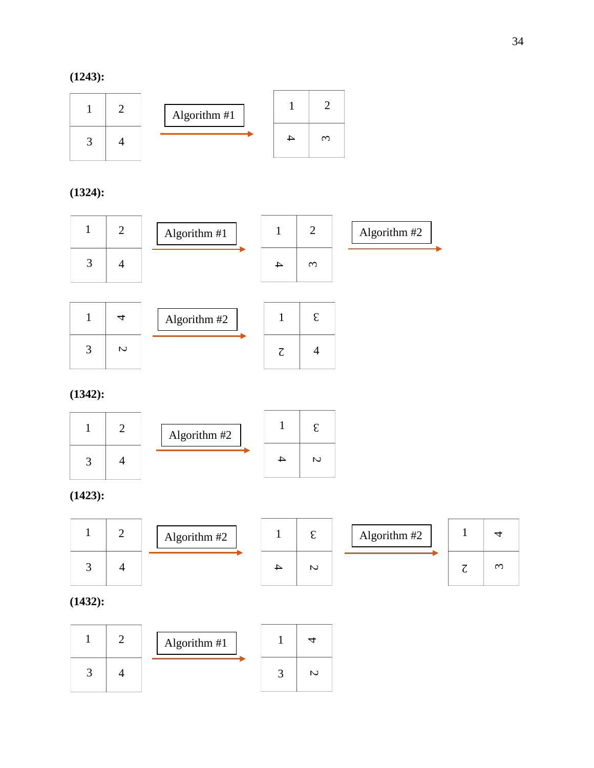![](_page_35_Figure_1.jpeg)

**(1324):**

![](_page_35_Figure_3.jpeg)

|   | Algorithm #2 |  |  |
|---|--------------|--|--|
| い |              |  |  |

**(1342):**

![](_page_35_Figure_6.jpeg)

# **(1423):**

![](_page_35_Figure_8.jpeg)

# **(1432):**

|  | Algorithm #1 |   |
|--|--------------|---|
|  |              | N |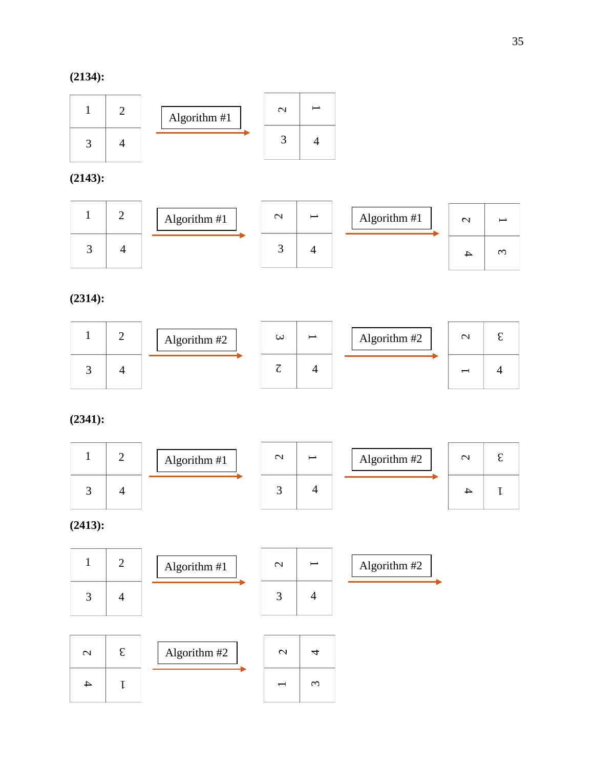**(2134):**

![](_page_36_Figure_2.jpeg)

**(2143):**

![](_page_36_Figure_4.jpeg)

**(2314):**

|  | Algorithm #2 | $\omega$ | Algorithm #2 | $\sim$ |  |
|--|--------------|----------|--------------|--------|--|
|  |              |          |              |        |  |

**(2341):**

![](_page_36_Figure_8.jpeg)

**(2413):**

![](_page_36_Figure_10.jpeg)

| $\mathrel{\sim}$ | Algorithm #2 |  |  |
|------------------|--------------|--|--|
|                  |              |  |  |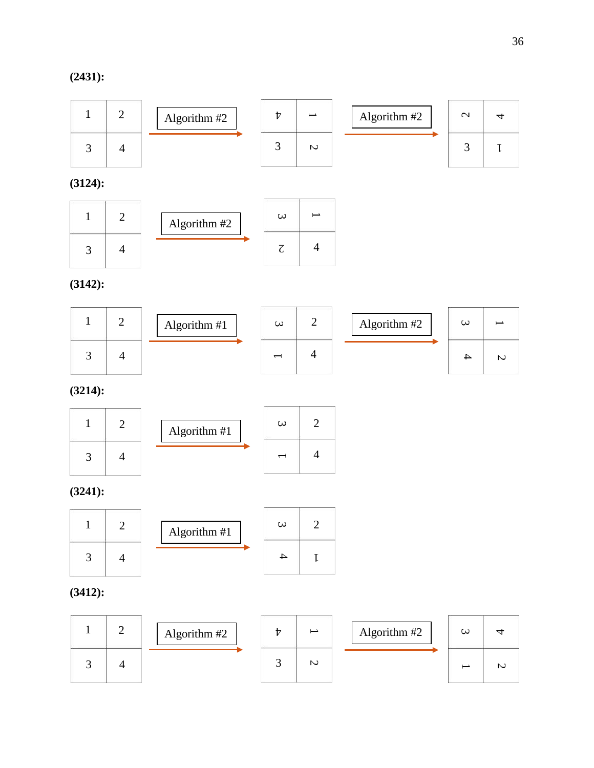# **(2431):**

![](_page_37_Figure_2.jpeg)

**(3124):**

![](_page_37_Figure_4.jpeg)

**(3142):**

|  | Algorithm $#1$ | $\omega$ | Algorithm #2 | $\omega$ |   |
|--|----------------|----------|--------------|----------|---|
|  |                |          |              |          | N |

**(3214):**

![](_page_37_Figure_8.jpeg)

**(3241):**

![](_page_37_Figure_10.jpeg)

# **(3412):**

![](_page_37_Figure_12.jpeg)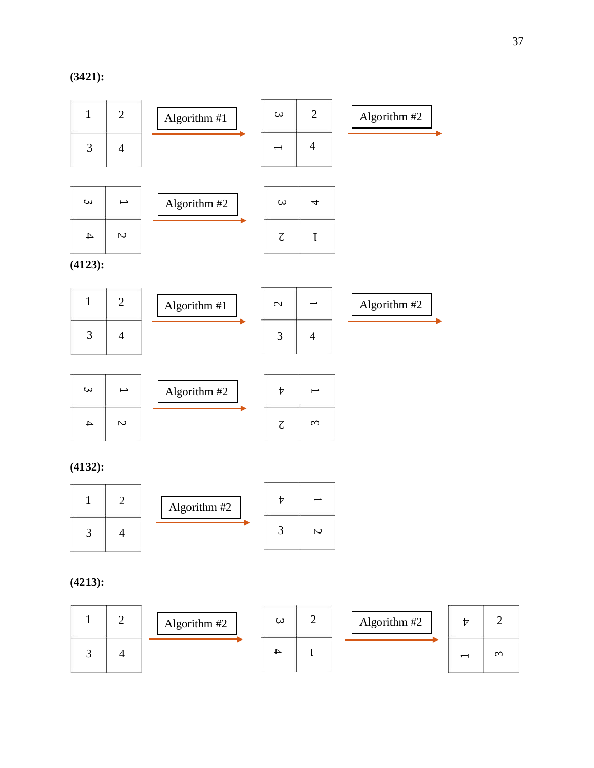![](_page_38_Figure_1.jpeg)

# **(4132):**

![](_page_38_Figure_3.jpeg)

# **(4213):**

|  | Algorithm #2 | $\omega$ | Algorithm #2 |   |
|--|--------------|----------|--------------|---|
|  |              |          |              | ᡤ |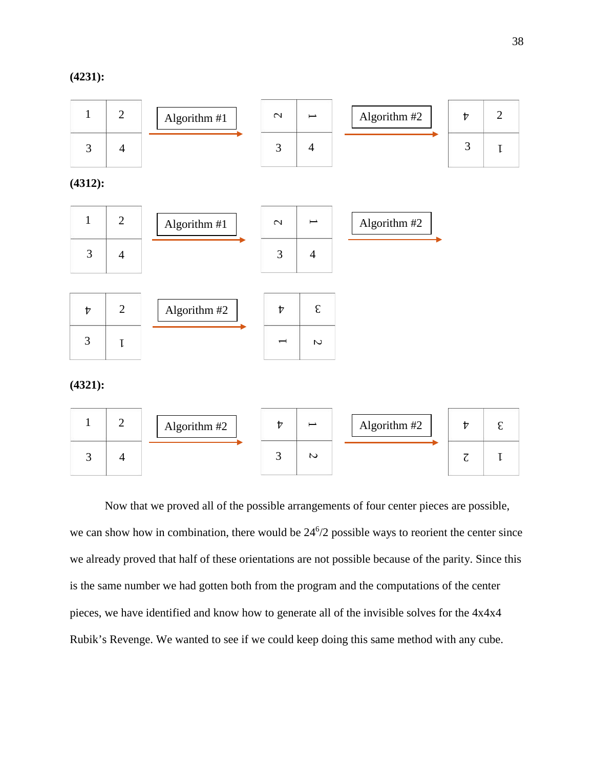**(4231):**

![](_page_39_Figure_2.jpeg)

Now that we proved all of the possible arrangements of four center pieces are possible, we can show how in combination, there would be  $24^{6}/2$  possible ways to reorient the center since we already proved that half of these orientations are not possible because of the parity. Since this is the same number we had gotten both from the program and the computations of the center pieces, we have identified and know how to generate all of the invisible solves for the 4x4x4 Rubik's Revenge. We wanted to see if we could keep doing this same method with any cube.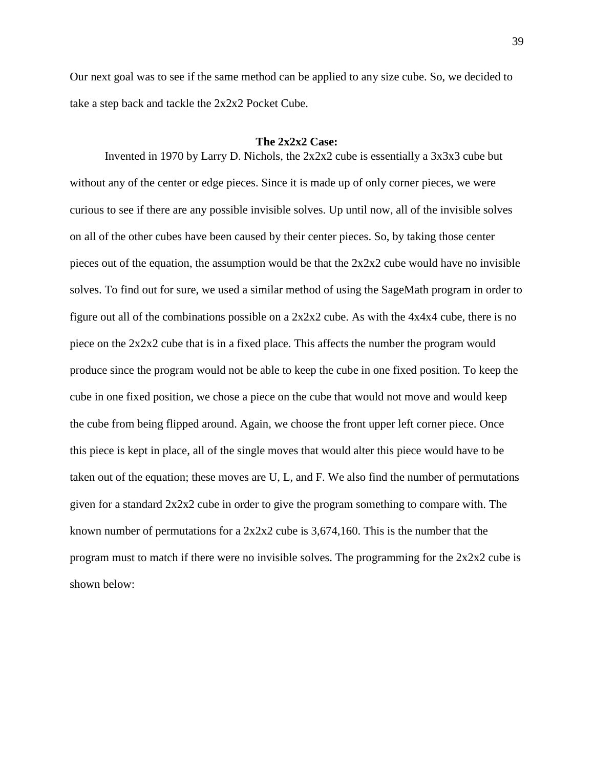Our next goal was to see if the same method can be applied to any size cube. So, we decided to take a step back and tackle the 2x2x2 Pocket Cube.

#### **The 2x2x2 Case:**

<span id="page-40-0"></span>Invented in 1970 by Larry D. Nichols, the 2x2x2 cube is essentially a 3x3x3 cube but without any of the center or edge pieces. Since it is made up of only corner pieces, we were curious to see if there are any possible invisible solves. Up until now, all of the invisible solves on all of the other cubes have been caused by their center pieces. So, by taking those center pieces out of the equation, the assumption would be that the  $2x2x2$  cube would have no invisible solves. To find out for sure, we used a similar method of using the SageMath program in order to figure out all of the combinations possible on a  $2x2x2$  cube. As with the  $4x4x4$  cube, there is no piece on the 2x2x2 cube that is in a fixed place. This affects the number the program would produce since the program would not be able to keep the cube in one fixed position. To keep the cube in one fixed position, we chose a piece on the cube that would not move and would keep the cube from being flipped around. Again, we choose the front upper left corner piece. Once this piece is kept in place, all of the single moves that would alter this piece would have to be taken out of the equation; these moves are U, L, and F. We also find the number of permutations given for a standard 2x2x2 cube in order to give the program something to compare with. The known number of permutations for a 2x2x2 cube is 3,674,160. This is the number that the program must to match if there were no invisible solves. The programming for the  $2x2x2$  cube is shown below: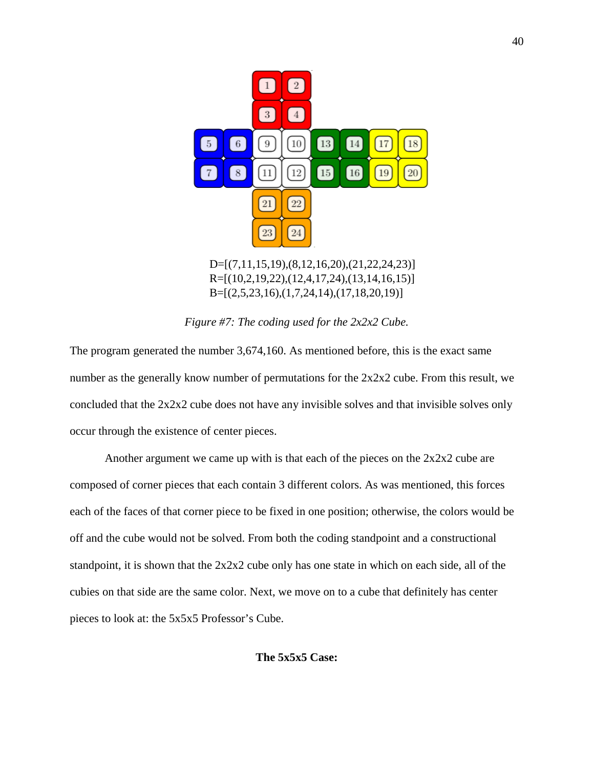![](_page_41_Figure_0.jpeg)

*Figure #7: The coding used for the 2x2x2 Cube.*

The program generated the number 3,674,160. As mentioned before, this is the exact same number as the generally know number of permutations for the 2x2x2 cube. From this result, we concluded that the  $2x2x2$  cube does not have any invisible solves and that invisible solves only occur through the existence of center pieces.

<span id="page-41-0"></span>Another argument we came up with is that each of the pieces on the  $2x2x2$  cube are composed of corner pieces that each contain 3 different colors. As was mentioned, this forces each of the faces of that corner piece to be fixed in one position; otherwise, the colors would be off and the cube would not be solved. From both the coding standpoint and a constructional standpoint, it is shown that the 2x2x2 cube only has one state in which on each side, all of the cubies on that side are the same color. Next, we move on to a cube that definitely has center pieces to look at: the 5x5x5 Professor's Cube.

40

# **The 5x5x5 Case:**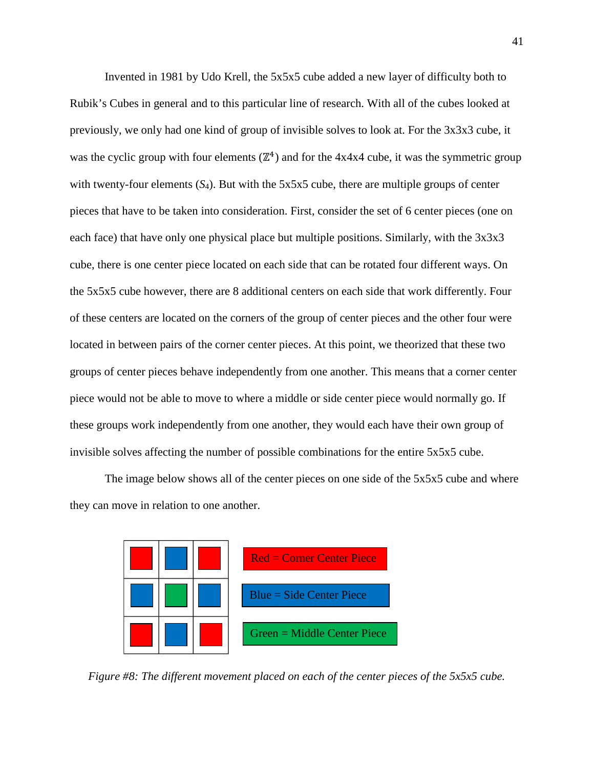Invented in 1981 by Udo Krell, the 5x5x5 cube added a new layer of difficulty both to Rubik's Cubes in general and to this particular line of research. With all of the cubes looked at previously, we only had one kind of group of invisible solves to look at. For the 3x3x3 cube, it was the cyclic group with four elements  $(\mathbb{Z}^4)$  and for the 4x4x4 cube, it was the symmetric group with twenty-four elements  $(S_4)$ . But with the 5x5x5 cube, there are multiple groups of center pieces that have to be taken into consideration. First, consider the set of 6 center pieces (one on each face) that have only one physical place but multiple positions. Similarly, with the 3x3x3 cube, there is one center piece located on each side that can be rotated four different ways. On the 5x5x5 cube however, there are 8 additional centers on each side that work differently. Four of these centers are located on the corners of the group of center pieces and the other four were located in between pairs of the corner center pieces. At this point, we theorized that these two groups of center pieces behave independently from one another. This means that a corner center piece would not be able to move to where a middle or side center piece would normally go. If these groups work independently from one another, they would each have their own group of invisible solves affecting the number of possible combinations for the entire 5x5x5 cube.

The image below shows all of the center pieces on one side of the 5x5x5 cube and where they can move in relation to one another.

![](_page_42_Figure_2.jpeg)

*Figure #8: The different movement placed on each of the center pieces of the 5x5x5 cube.*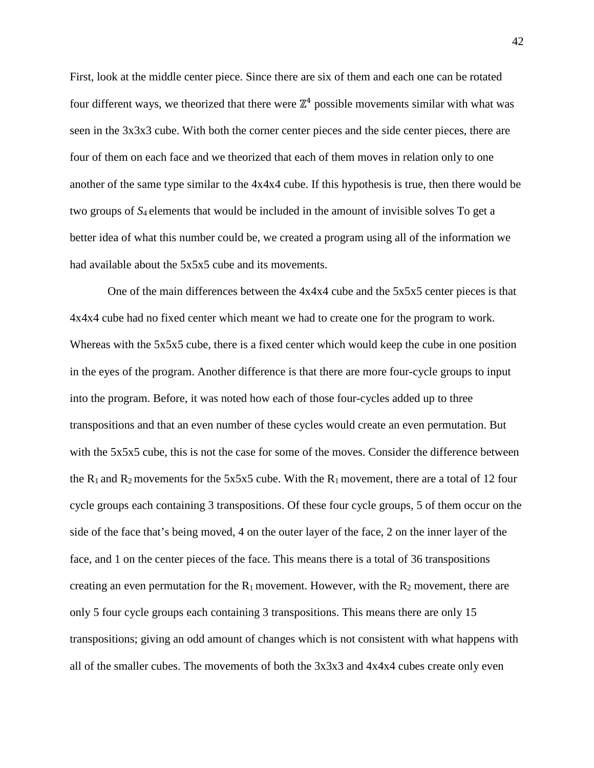First, look at the middle center piece. Since there are six of them and each one can be rotated four different ways, we theorized that there were  $\mathbb{Z}^4$  possible movements similar with what was seen in the 3x3x3 cube. With both the corner center pieces and the side center pieces, there are four of them on each face and we theorized that each of them moves in relation only to one another of the same type similar to the 4x4x4 cube. If this hypothesis is true, then there would be two groups of *S*4 elements that would be included in the amount of invisible solves To get a better idea of what this number could be, we created a program using all of the information we had available about the 5x5x5 cube and its movements.

One of the main differences between the 4x4x4 cube and the 5x5x5 center pieces is that 4x4x4 cube had no fixed center which meant we had to create one for the program to work. Whereas with the 5x5x5 cube, there is a fixed center which would keep the cube in one position in the eyes of the program. Another difference is that there are more four-cycle groups to input into the program. Before, it was noted how each of those four-cycles added up to three transpositions and that an even number of these cycles would create an even permutation. But with the 5x5x5 cube, this is not the case for some of the moves. Consider the difference between the  $R_1$  and  $R_2$  movements for the 5x5x5 cube. With the  $R_1$  movement, there are a total of 12 four cycle groups each containing 3 transpositions. Of these four cycle groups, 5 of them occur on the side of the face that's being moved, 4 on the outer layer of the face, 2 on the inner layer of the face, and 1 on the center pieces of the face. This means there is a total of 36 transpositions creating an even permutation for the  $R_1$  movement. However, with the  $R_2$  movement, there are only 5 four cycle groups each containing 3 transpositions. This means there are only 15 transpositions; giving an odd amount of changes which is not consistent with what happens with all of the smaller cubes. The movements of both the 3x3x3 and 4x4x4 cubes create only even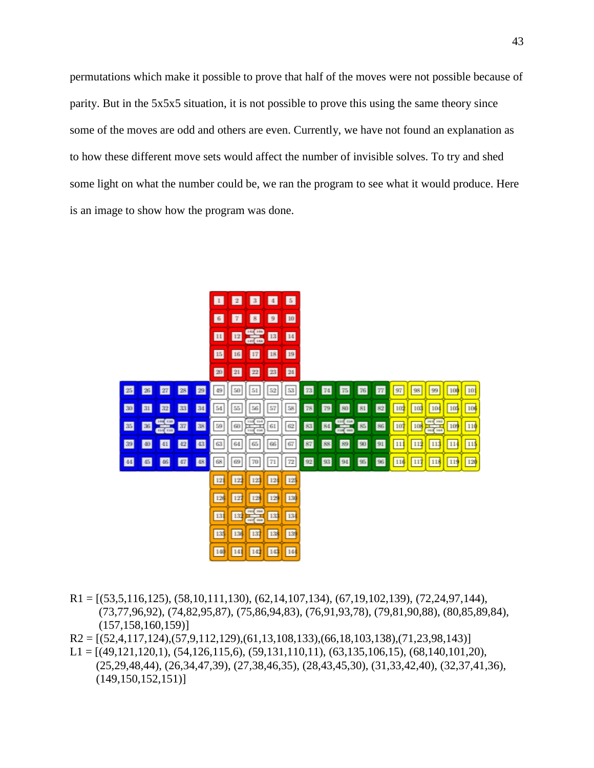permutations which make it possible to prove that half of the moves were not possible because of parity. But in the 5x5x5 situation, it is not possible to prove this using the same theory since some of the moves are odd and others are even. Currently, we have not found an explanation as to how these different move sets would affect the number of invisible solves. To try and shed some light on what the number could be, we ran the program to see what it would produce. Here is an image to show how the program was done.

![](_page_44_Figure_1.jpeg)

- $R1 = \left[\frac{53,5,116,125}{63,5,116,125}\right], \left[\frac{58,10,111,130}{62,14,107,134}\right], \left[\frac{67,19,102,139}{67,19,102,139}\right], \left[\frac{72,24,97,144}{67,19,102,139}\right], \left[\frac{72,24,97,144}{67,19,102,139}\right], \left[\frac{72,24,97,144}{67,19,102,139}\right], \left[\frac{72,24,9$  (73,77,96,92), (74,82,95,87), (75,86,94,83), (76,91,93,78), (79,81,90,88), (80,85,89,84), (157,158,160,159)]
- $R2 = [(52,4,117,124),(57,9,112,129),(61,13,108,133),(66,18,103,138),(71,23,98,143)]$
- $L1 = [(49,121,120,1), (54,126,115,6), (59,131,110,11), (63,135,106,15), (68,140,101,20),$  (25,29,48,44), (26,34,47,39), (27,38,46,35), (28,43,45,30), (31,33,42,40), (32,37,41,36),  $(149,150,152,151)$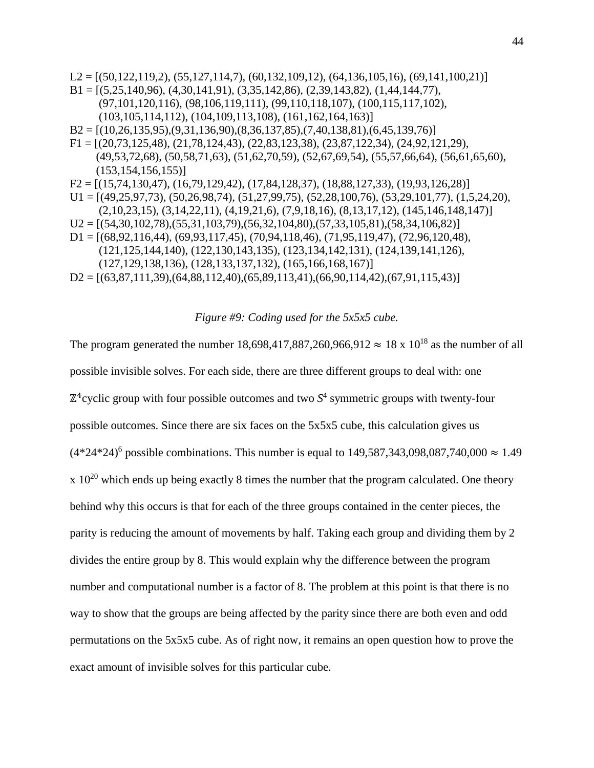$L2 = [(50,122,119,2), (55,127,114,7), (60,132,109,12), (64,136,105,16), (69,141,100,21)]$  $B1 = [(5,25,140,96), (4,30,141,91), (3,35,142,86), (2,39,143,82), (1,44,144,77),$  (97,101,120,116), (98,106,119,111), (99,110,118,107), (100,115,117,102), (103,105,114,112), (104,109,113,108), (161,162,164,163)]  $B2 = [(10,26,135,95), (9,31,136,90), (8,36,137,85), (7,40,138,81), (6,45,139,76)]$ F1 = [(20,73,125,48), (21,78,124,43), (22,83,123,38), (23,87,122,34), (24,92,121,29), (49,53,72,68), (50,58,71,63), (51,62,70,59), (52,67,69,54), (55,57,66,64), (56,61,65,60),  $(153, 154, 156, 155)$  $F2 = [(15,74,130,47), (16,79,129,42), (17,84,128,37), (18,88,127,33), (19,93,126,28)]$  $U1 = [(49,25,97,73), (50,26,98,74), (51,27,99,75), (52,28,100,76), (53,29,101,77), (1,5,24,20),$  (2,10,23,15), (3,14,22,11), (4,19,21,6), (7,9,18,16), (8,13,17,12), (145,146,148,147)]  $U2 = [(54,30,102,78), (55,31,103,79), (56,32,104,80), (57,33,105,81), (58,34,106,82)]$ D1 = [(68,92,116,44), (69,93,117,45), (70,94,118,46), (71,95,119,47), (72,96,120,48), (121,125,144,140), (122,130,143,135), (123,134,142,131), (124,139,141,126), (127,129,138,136), (128,133,137,132), (165,166,168,167)]

 $D2 = [(63,87,111,39),(64,88,112,40),(65,89,113,41),(66,90,114,42),(67,91,115,43)]$ 

#### *Figure #9: Coding used for the 5x5x5 cube.*

The program generated the number 18,698,417,887,260,966,912  $\approx 18 \times 10^{18}$  as the number of all possible invisible solves. For each side, there are three different groups to deal with: one  $\mathbb{Z}^4$ cyclic group with four possible outcomes and two  $S^4$  symmetric groups with twenty-four possible outcomes. Since there are six faces on the 5x5x5 cube, this calculation gives us  $(4*24*24)^6$  possible combinations. This number is equal to 149,587,343,098,087,740,000  $\approx 1.49$  $x 10^{20}$  which ends up being exactly 8 times the number that the program calculated. One theory behind why this occurs is that for each of the three groups contained in the center pieces, the parity is reducing the amount of movements by half. Taking each group and dividing them by 2 divides the entire group by 8. This would explain why the difference between the program number and computational number is a factor of 8. The problem at this point is that there is no way to show that the groups are being affected by the parity since there are both even and odd permutations on the 5x5x5 cube. As of right now, it remains an open question how to prove the exact amount of invisible solves for this particular cube.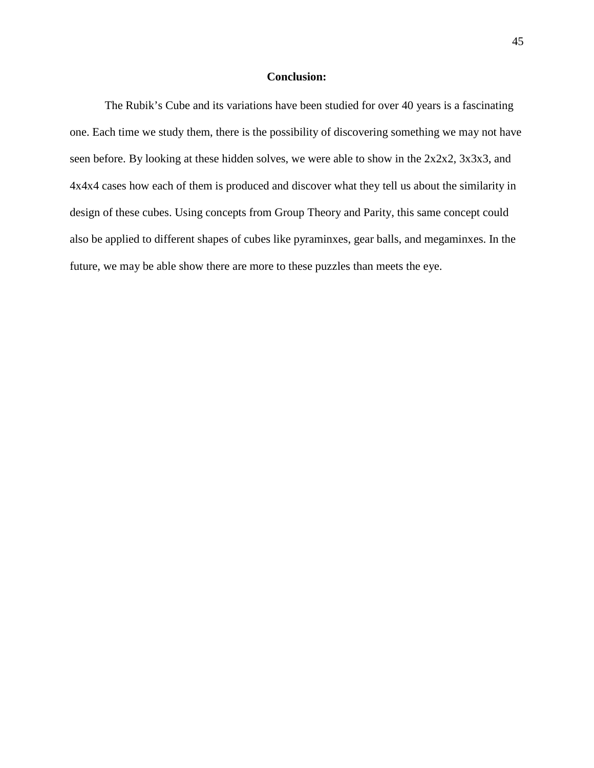#### **Conclusion:**

<span id="page-46-0"></span>The Rubik's Cube and its variations have been studied for over 40 years is a fascinating one. Each time we study them, there is the possibility of discovering something we may not have seen before. By looking at these hidden solves, we were able to show in the 2x2x2, 3x3x3, and 4x4x4 cases how each of them is produced and discover what they tell us about the similarity in design of these cubes. Using concepts from Group Theory and Parity, this same concept could also be applied to different shapes of cubes like pyraminxes, gear balls, and megaminxes. In the future, we may be able show there are more to these puzzles than meets the eye.